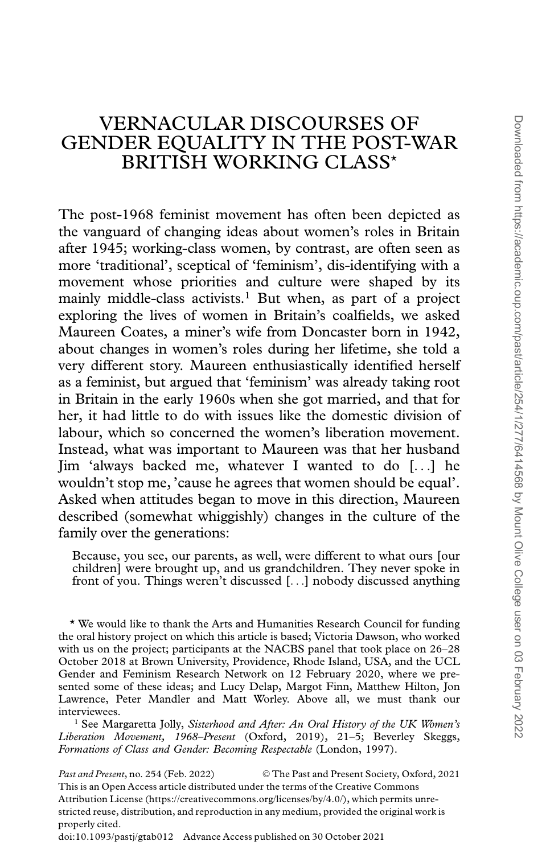## VERNACULAR DISCOURSES OF GENDER EQUALITY IN THE POST-WAR BRITISH WORKING CLASS\*

The post-1968 feminist movement has often been depicted as the vanguard of changing ideas about women's roles in Britain after 1945; working-class women, by contrast, are often seen as more 'traditional', sceptical of 'feminism', dis-identifying with a movement whose priorities and culture were shaped by its mainly middle-class activists.<sup>1</sup> But when, as part of a project exploring the lives of women in Britain's coalfields, we asked Maureen Coates, a miner's wife from Doncaster born in 1942, about changes in women's roles during her lifetime, she told a very different story. Maureen enthusiastically identified herself as a feminist, but argued that 'feminism' was already taking root in Britain in the early 1960s when she got married, and that for her, it had little to do with issues like the domestic division of labour, which so concerned the women's liberation movement. Instead, what was important to Maureen was that her husband Jim 'always backed me, whatever I wanted to do [...] he wouldn't stop me, 'cause he agrees that women should be equal'. Asked when attitudes began to move in this direction, Maureen described (somewhat whiggishly) changes in the culture of the family over the generations:

Because, you see, our parents, as well, were different to what ours [our children] were brought up, and us grandchildren. They never spoke in front of you. Things weren't discussed [...] nobody discussed anything

\* We would like to thank the Arts and Humanities Research Council for funding the oral history project on which this article is based; Victoria Dawson, who worked with us on the project; participants at the NACBS panel that took place on 26–28 October 2018 at Brown University, Providence, Rhode Island, USA, and the UCL Gender and Feminism Research Network on 12 February 2020, where we presented some of these ideas; and Lucy Delap, Margot Finn, Matthew Hilton, Jon Lawrence, Peter Mandler and Matt Worley. Above all, we must thank our interviewees.

<sup>1</sup> See Margaretta Jolly, Sisterhood and After: An Oral History of the UK Women's Liberation Movement, 1968–Present (Oxford, 2019), 21–5; Beverley Skeggs, Formations of Class and Gender: Becoming Respectable (London, 1997).

Past and Present, no. 254 (Feb. 2022) © The Past and Present Society, Oxford, 2021 This is an Open Access article distributed under the terms of the Creative Commons Attribution License (https://creativecommons.org/licenses/by/4.0/), which permits unrestricted reuse, distribution, and reproduction in any medium, provided the original work is properly cited. doi:10.1093/pastj/gtab012 Advance Access published on 30 October 2021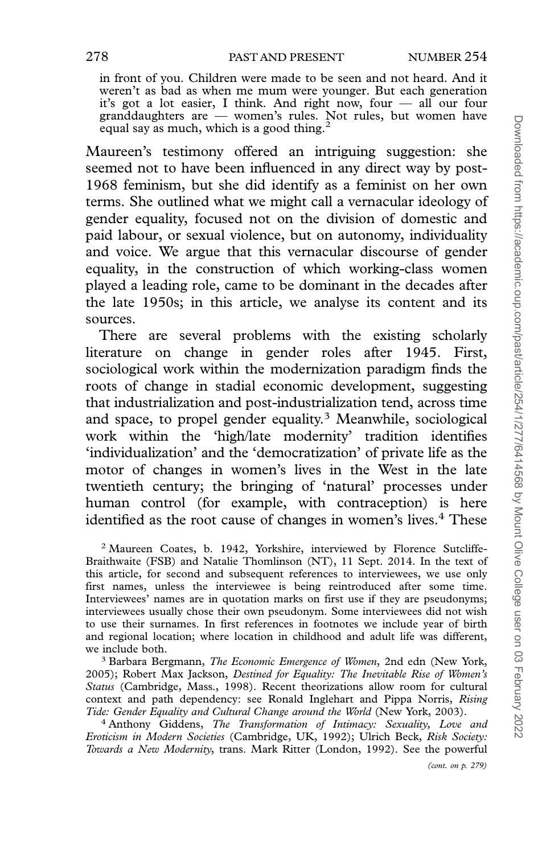in front of you. Children were made to be seen and not heard. And it weren't as bad as when me mum were younger. But each generation it's got a lot easier, I think. And right now, four — all our four granddaughters are — women's rules. Not rules, but women have equal say as much, which is a good thing.<sup>2</sup>

Maureen's testimony offered an intriguing suggestion: she seemed not to have been influenced in any direct way by post-1968 feminism, but she did identify as a feminist on her own terms. She outlined what we might call a vernacular ideology of gender equality, focused not on the division of domestic and paid labour, or sexual violence, but on autonomy, individuality and voice. We argue that this vernacular discourse of gender equality, in the construction of which working-class women played a leading role, came to be dominant in the decades after the late 1950s; in this article, we analyse its content and its sources.

There are several problems with the existing scholarly literature on change in gender roles after 1945. First, sociological work within the modernization paradigm finds the roots of change in stadial economic development, suggesting that industrialization and post-industrialization tend, across time and space, to propel gender equality.<sup>3</sup> Meanwhile, sociological work within the 'high/late modernity' tradition identifies 'individualization' and the 'democratization' of private life as the motor of changes in women's lives in the West in the late twentieth century; the bringing of 'natural' processes under human control (for example, with contraception) is here identified as the root cause of changes in women's lives.<sup>4</sup> These

<sup>2</sup> Maureen Coates, b. 1942, Yorkshire, interviewed by Florence Sutcliffe-Braithwaite (FSB) and Natalie Thomlinson (NT), 11 Sept. 2014. In the text of this article, for second and subsequent references to interviewees, we use only first names, unless the interviewee is being reintroduced after some time. Interviewees' names are in quotation marks on first use if they are pseudonyms; interviewees usually chose their own pseudonym. Some interviewees did not wish to use their surnames. In first references in footnotes we include year of birth and regional location; where location in childhood and adult life was different, we include both.

<sup>3</sup> Barbara Bergmann, *The Economic Emergence of Women*, 2nd edn (New York, 2005); Robert Max Jackson, Destined for Equality: The Inevitable Rise of Women's Status (Cambridge, Mass., 1998). Recent theorizations allow room for cultural context and path dependency: see Ronald Inglehart and Pippa Norris, Rising Tide: Gender Equality and Cultural Change around the World (New York, 2003).

<sup>4</sup> Anthony Giddens, *The Transformation of Intimacy: Sexuality*, Love and Eroticism in Modern Societies (Cambridge, UK, 1992); Ulrich Beck, Risk Society: Towards a New Modernity, trans. Mark Ritter (London, 1992). See the powerful

(cont. on p. 279)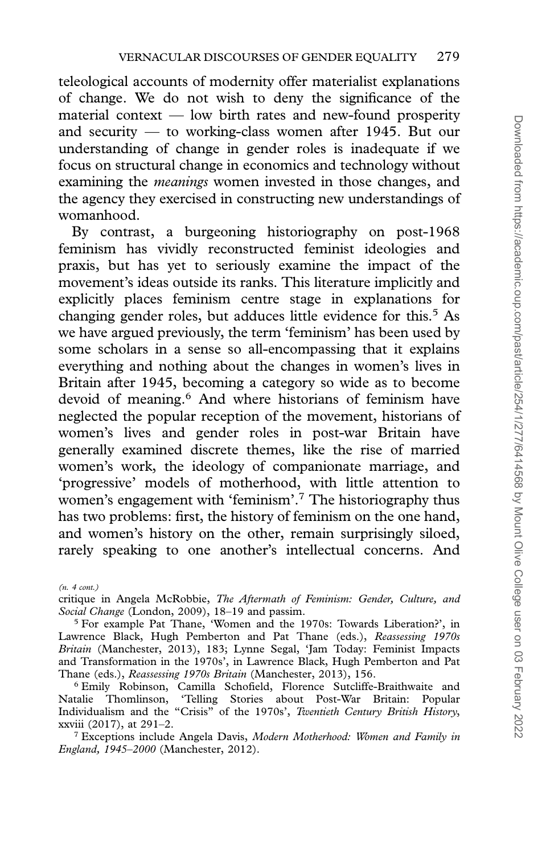teleological accounts of modernity offer materialist explanations of change. We do not wish to deny the significance of the material context — low birth rates and new-found prosperity and security — to working-class women after 1945. But our understanding of change in gender roles is inadequate if we focus on structural change in economics and technology without examining the *meanings* women invested in those changes, and the agency they exercised in constructing new understandings of womanhood.

By contrast, a burgeoning historiography on post-1968 feminism has vividly reconstructed feminist ideologies and praxis, but has yet to seriously examine the impact of the movement's ideas outside its ranks. This literature implicitly and explicitly places feminism centre stage in explanations for changing gender roles, but adduces little evidence for this.<sup>5</sup> As we have argued previously, the term 'feminism' has been used by some scholars in a sense so all-encompassing that it explains everything and nothing about the changes in women's lives in Britain after 1945, becoming a category so wide as to become devoid of meaning.6 And where historians of feminism have neglected the popular reception of the movement, historians of women's lives and gender roles in post-war Britain have generally examined discrete themes, like the rise of married women's work, the ideology of companionate marriage, and 'progressive' models of motherhood, with little attention to women's engagement with 'feminism'.7 The historiography thus has two problems: first, the history of feminism on the one hand, and women's history on the other, remain surprisingly siloed, rarely speaking to one another's intellectual concerns. And

<sup>(</sup>n. 4 cont.)

critique in Angela McRobbie, The Aftermath of Feminism: Gender, Culture, and Social Change (London, 2009), 18–19 and passim.

<sup>5</sup> For example Pat Thane, 'Women and the 1970s: Towards Liberation?', in Lawrence Black, Hugh Pemberton and Pat Thane (eds.), Reassessing 1970s Britain (Manchester, 2013), 183; Lynne Segal, 'Jam Today: Feminist Impacts and Transformation in the 1970s', in Lawrence Black, Hugh Pemberton and Pat Thane (eds.), Reassessing 1970s Britain (Manchester, 2013), 156.

<sup>6</sup> Emily Robinson, Camilla Schofield, Florence Sutcliffe-Braithwaite and Natalie Thomlinson, 'Telling Stories about Post-War Britain: Popular Individualism and the "Crisis" of the 1970s', Twentieth Century British History, xxviii (2017), at 291–2.

<sup>&</sup>lt;sup>7</sup> Exceptions include Angela Davis, Modern Motherhood: Women and Family in England, 1945–2000 (Manchester, 2012).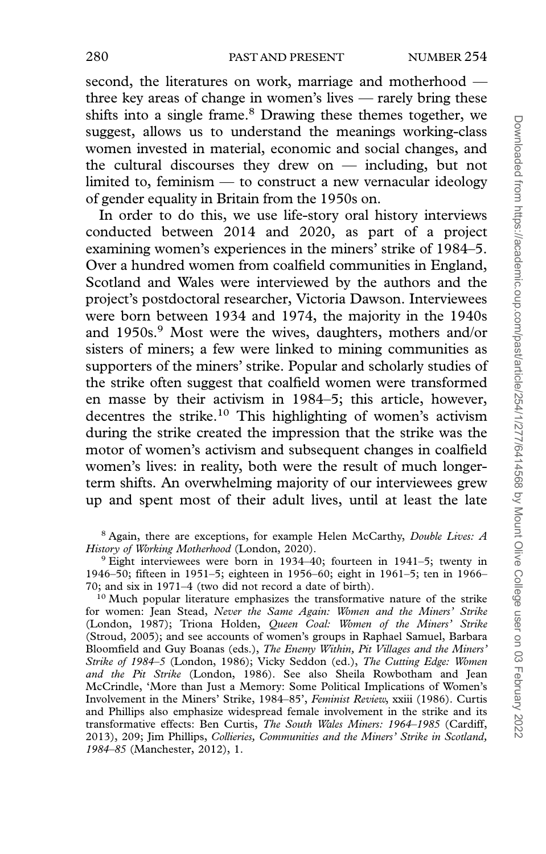second, the literatures on work, marriage and motherhood three key areas of change in women's lives — rarely bring these shifts into a single frame.<sup>8</sup> Drawing these themes together, we suggest, allows us to understand the meanings working-class women invested in material, economic and social changes, and the cultural discourses they drew on — including, but not limited to, feminism — to construct a new vernacular ideology of gender equality in Britain from the 1950s on.

In order to do this, we use life-story oral history interviews conducted between 2014 and 2020, as part of a project examining women's experiences in the miners' strike of 1984–5. Over a hundred women from coalfield communities in England, Scotland and Wales were interviewed by the authors and the project's postdoctoral researcher, Victoria Dawson. Interviewees were born between 1934 and 1974, the majority in the 1940s and 1950s.<sup>9</sup> Most were the wives, daughters, mothers and/or sisters of miners; a few were linked to mining communities as supporters of the miners' strike. Popular and scholarly studies of the strike often suggest that coalfield women were transformed en masse by their activism in 1984–5; this article, however, decentres the strike.10 This highlighting of women's activism during the strike created the impression that the strike was the motor of women's activism and subsequent changes in coalfield women's lives: in reality, both were the result of much longerterm shifts. An overwhelming majority of our interviewees grew up and spent most of their adult lives, until at least the late

<sup>8</sup> Again, there are exceptions, for example Helen McCarthy, *Double Lives: A* History of Working Motherhood (London, 2020).

<sup>9</sup> Eight interviewees were born in 1934–40; fourteen in 1941–5; twenty in 1946–50; fifteen in 1951–5; eighteen in 1956–60; eight in 1961–5; ten in 1966– 70; and six in 1971–4 (two did not record a date of birth).

<sup>10</sup> Much popular literature emphasizes the transformative nature of the strike for women: Jean Stead, Never the Same Again: Women and the Miners' Strike (London, 1987); Triona Holden, Queen Coal: Women of the Miners' Strike (Stroud, 2005); and see accounts of women's groups in Raphael Samuel, Barbara Bloomfield and Guy Boanas (eds.), The Enemy Within, Pit Villages and the Miners' Strike of 1984–5 (London, 1986); Vicky Seddon (ed.), The Cutting Edge: Women and the Pit Strike (London, 1986). See also Sheila Rowbotham and Jean McCrindle, 'More than Just a Memory: Some Political Implications of Women's Involvement in the Miners' Strike, 1984–85', Feminist Review, xxiii (1986). Curtis and Phillips also emphasize widespread female involvement in the strike and its transformative effects: Ben Curtis, The South Wales Miners: 1964–1985 (Cardiff, 2013), 209; Jim Phillips, Collieries, Communities and the Miners' Strike in Scotland, 1984–85 (Manchester, 2012), 1.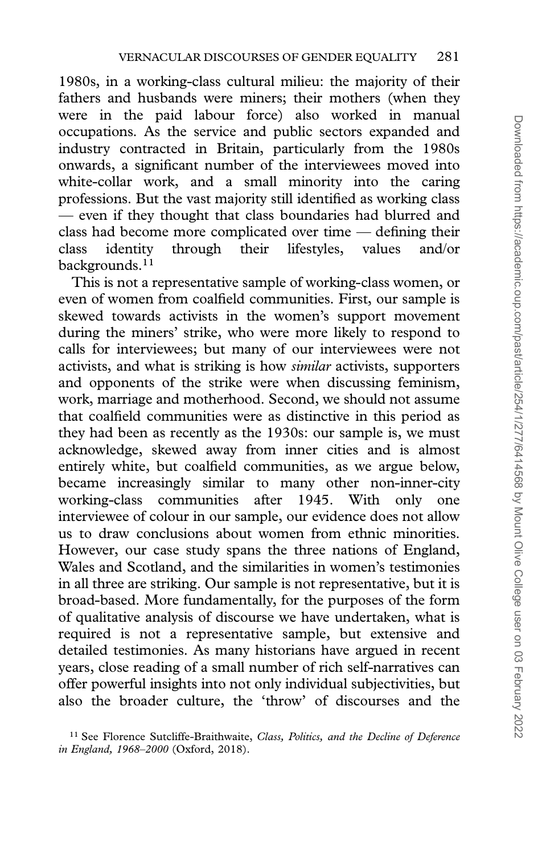1980s, in a working-class cultural milieu: the majority of their fathers and husbands were miners; their mothers (when they were in the paid labour force) also worked in manual occupations. As the service and public sectors expanded and industry contracted in Britain, particularly from the 1980s onwards, a significant number of the interviewees moved into white-collar work, and a small minority into the caring professions. But the vast majority still identified as working class — even if they thought that class boundaries had blurred and class had become more complicated over time — defining their class identity through their lifestyles, values and/or backgrounds.<sup>11</sup>

This is not a representative sample of working-class women, or even of women from coalfield communities. First, our sample is skewed towards activists in the women's support movement during the miners' strike, who were more likely to respond to calls for interviewees; but many of our interviewees were not activists, and what is striking is how *similar* activists, supporters and opponents of the strike were when discussing feminism, work, marriage and motherhood. Second, we should not assume that coalfield communities were as distinctive in this period as they had been as recently as the 1930s: our sample is, we must acknowledge, skewed away from inner cities and is almost entirely white, but coalfield communities, as we argue below, became increasingly similar to many other non-inner-city working-class communities after 1945. With only one interviewee of colour in our sample, our evidence does not allow us to draw conclusions about women from ethnic minorities. However, our case study spans the three nations of England, Wales and Scotland, and the similarities in women's testimonies in all three are striking. Our sample is not representative, but it is broad-based. More fundamentally, for the purposes of the form of qualitative analysis of discourse we have undertaken, what is required is not a representative sample, but extensive and detailed testimonies. As many historians have argued in recent years, close reading of a small number of rich self-narratives can offer powerful insights into not only individual subjectivities, but also the broader culture, the 'throw' of discourses and the

<sup>&</sup>lt;sup>11</sup> See Florence Sutcliffe-Braithwaite, Class, Politics, and the Decline of Deference in England, 1968–2000 (Oxford, 2018).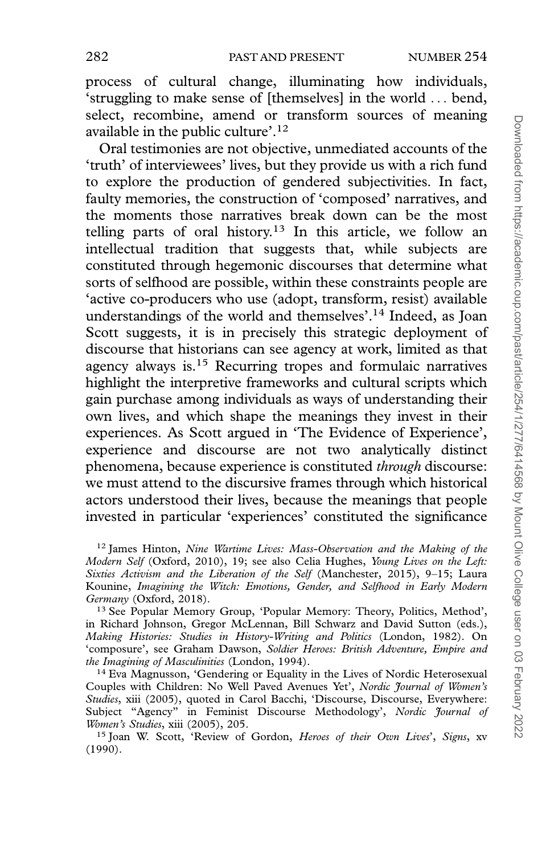process of cultural change, illuminating how individuals, 'struggling to make sense of [themselves] in the world ... bend, select, recombine, amend or transform sources of meaning available in the public culture'.12

Oral testimonies are not objective, unmediated accounts of the 'truth' of interviewees' lives, but they provide us with a rich fund to explore the production of gendered subjectivities. In fact, faulty memories, the construction of 'composed' narratives, and the moments those narratives break down can be the most telling parts of oral history.<sup>13</sup> In this article, we follow an intellectual tradition that suggests that, while subjects are constituted through hegemonic discourses that determine what sorts of selfhood are possible, within these constraints people are 'active co-producers who use (adopt, transform, resist) available understandings of the world and themselves'.14 Indeed, as Joan Scott suggests, it is in precisely this strategic deployment of discourse that historians can see agency at work, limited as that agency always is.15 Recurring tropes and formulaic narratives highlight the interpretive frameworks and cultural scripts which gain purchase among individuals as ways of understanding their own lives, and which shape the meanings they invest in their experiences. As Scott argued in 'The Evidence of Experience', experience and discourse are not two analytically distinct phenomena, because experience is constituted through discourse: we must attend to the discursive frames through which historical actors understood their lives, because the meanings that people invested in particular 'experiences' constituted the significance

<sup>15</sup> Joan W. Scott, 'Review of Gordon, Heroes of their Own Lives', Signs, xv (1990).

<sup>&</sup>lt;sup>12</sup> James Hinton, Nine Wartime Lives: Mass-Observation and the Making of the Modern Self (Oxford, 2010), 19; see also Celia Hughes, Young Lives on the Left: Sixties Activism and the Liberation of the Self (Manchester, 2015), 9–15; Laura Kounine, Imagining the Witch: Emotions, Gender, and Selfhood in Early Modern Germany (Oxford, 2018).

<sup>13</sup> See Popular Memory Group, 'Popular Memory: Theory, Politics, Method', in Richard Johnson, Gregor McLennan, Bill Schwarz and David Sutton (eds.), Making Histories: Studies in History-Writing and Politics (London, 1982). On 'composure', see Graham Dawson, Soldier Heroes: British Adventure, Empire and the Imagining of Masculinities (London, 1994).

<sup>&</sup>lt;sup>14</sup> Eva Magnusson, 'Gendering or Equality in the Lives of Nordic Heterosexual Couples with Children: No Well Paved Avenues Yet', Nordic Journal of Women's Studies, xiii (2005), quoted in Carol Bacchi, 'Discourse, Discourse, Everywhere: Subject "Agency" in Feminist Discourse Methodology', Nordic Journal of Women's Studies, xiii (2005), 205.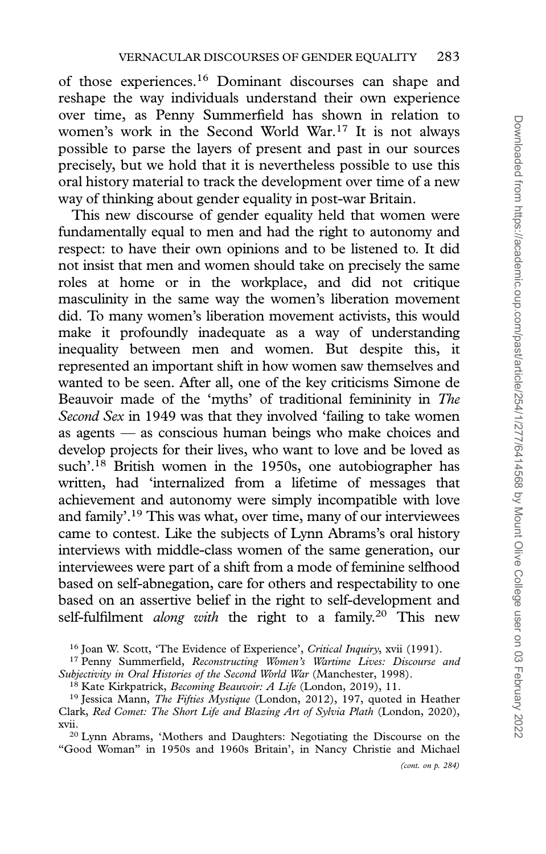of those experiences.16 Dominant discourses can shape and reshape the way individuals understand their own experience over time, as Penny Summerfield has shown in relation to women's work in the Second World War.<sup>17</sup> It is not always possible to parse the layers of present and past in our sources precisely, but we hold that it is nevertheless possible to use this oral history material to track the development over time of a new way of thinking about gender equality in post-war Britain.

This new discourse of gender equality held that women were fundamentally equal to men and had the right to autonomy and respect: to have their own opinions and to be listened to. It did not insist that men and women should take on precisely the same roles at home or in the workplace, and did not critique masculinity in the same way the women's liberation movement did. To many women's liberation movement activists, this would make it profoundly inadequate as a way of understanding inequality between men and women. But despite this, it represented an important shift in how women saw themselves and wanted to be seen. After all, one of the key criticisms Simone de Beauvoir made of the 'myths' of traditional femininity in The Second Sex in 1949 was that they involved 'failing to take women as agents — as conscious human beings who make choices and develop projects for their lives, who want to love and be loved as such'.<sup>18</sup> British women in the 1950s, one autobiographer has written, had 'internalized from a lifetime of messages that achievement and autonomy were simply incompatible with love and family'.19 This was what, over time, many of our interviewees came to contest. Like the subjects of Lynn Abrams's oral history interviews with middle-class women of the same generation, our interviewees were part of a shift from a mode of feminine selfhood based on self-abnegation, care for others and respectability to one based on an assertive belief in the right to self-development and self-fulfilment *along with* the right to a family.<sup>20</sup> This new

<sup>16</sup> Joan W. Scott, 'The Evidence of Experience', Critical Inquiry, xvii (1991).

<sup>20</sup> Lynn Abrams, 'Mothers and Daughters: Negotiating the Discourse on the "Good Woman" in 1950s and 1960s Britain', in Nancy Christie and Michael

<sup>&</sup>lt;sup>17</sup> Penny Summerfield, Reconstructing Women's Wartime Lives: Discourse and Subjectivity in Oral Histories of the Second World War (Manchester, 1998).

<sup>&</sup>lt;sup>18</sup> Kate Kirkpatrick, *Becoming Beauvoir: A Life* (London, 2019), 11.

<sup>&</sup>lt;sup>19</sup> Jessica Mann, *The Fifties Mystique* (London, 2012), 197, quoted in Heather Clark, Red Comet: The Short Life and Blazing Art of Sylvia Plath (London, 2020), xvii.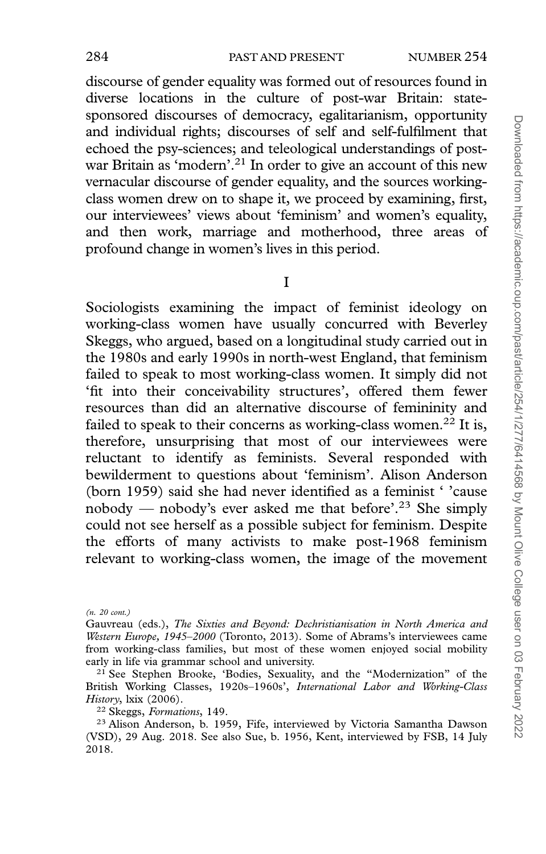discourse of gender equality was formed out of resources found in diverse locations in the culture of post-war Britain: statesponsored discourses of democracy, egalitarianism, opportunity and individual rights; discourses of self and self-fulfilment that echoed the psy-sciences; and teleological understandings of postwar Britain as 'modern'.<sup>21</sup> In order to give an account of this new vernacular discourse of gender equality, and the sources workingclass women drew on to shape it, we proceed by examining, first, our interviewees' views about 'feminism' and women's equality, and then work, marriage and motherhood, three areas of profound change in women's lives in this period.

I

Sociologists examining the impact of feminist ideology on working-class women have usually concurred with Beverley Skeggs, who argued, based on a longitudinal study carried out in the 1980s and early 1990s in north-west England, that feminism failed to speak to most working-class women. It simply did not 'fit into their conceivability structures', offered them fewer resources than did an alternative discourse of femininity and failed to speak to their concerns as working-class women.<sup>22</sup> It is, therefore, unsurprising that most of our interviewees were reluctant to identify as feminists. Several responded with bewilderment to questions about 'feminism'. Alison Anderson (born 1959) said she had never identified as a feminist ' 'cause nobody — nobody's ever asked me that before'.23 She simply could not see herself as a possible subject for feminism. Despite the efforts of many activists to make post-1968 feminism relevant to working-class women, the image of the movement

<sup>(</sup>n. 20 cont.)

Gauvreau (eds.), The Sixties and Beyond: Dechristianisation in North America and Western Europe, 1945–2000 (Toronto, 2013). Some of Abrams's interviewees came from working-class families, but most of these women enjoyed social mobility early in life via grammar school and university.

<sup>&</sup>lt;sup>21</sup> See Stephen Brooke, 'Bodies, Sexuality, and the "Modernization" of the British Working Classes, 1920s–1960s', International Labor and Working-Class History, lxix (2006).

<sup>22</sup> Skeggs, Formations, 149.

<sup>23</sup> Alison Anderson, b. 1959, Fife, interviewed by Victoria Samantha Dawson (VSD), 29 Aug. 2018. See also Sue, b. 1956, Kent, interviewed by FSB, 14 July 2018.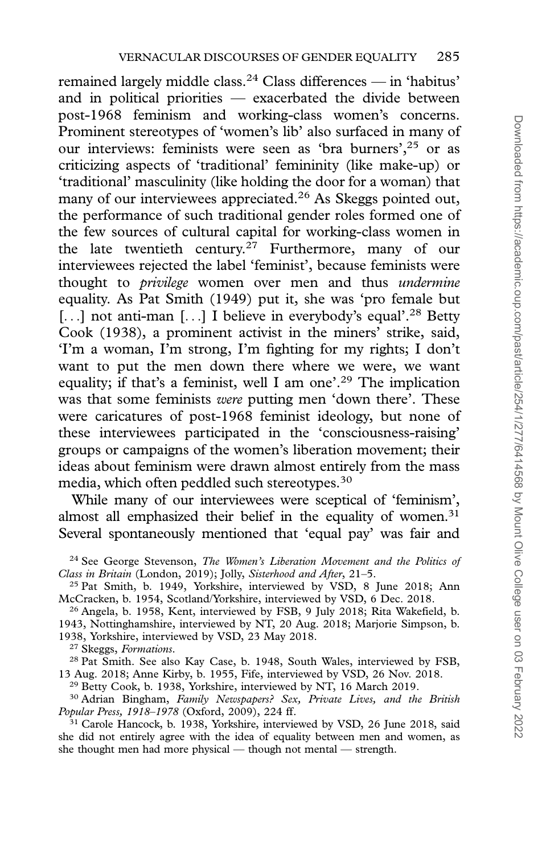remained largely middle class.<sup>24</sup> Class differences — in 'habitus' and in political priorities — exacerbated the divide between post-1968 feminism and working-class women's concerns. Prominent stereotypes of 'women's lib' also surfaced in many of our interviews: feminists were seen as 'bra burners',<sup>25</sup> or as criticizing aspects of 'traditional' femininity (like make-up) or 'traditional' masculinity (like holding the door for a woman) that many of our interviewees appreciated.<sup>26</sup> As Skeggs pointed out, the performance of such traditional gender roles formed one of the few sources of cultural capital for working-class women in the late twentieth century.27 Furthermore, many of our interviewees rejected the label 'feminist', because feminists were thought to *privilege* women over men and thus *undermine* equality. As Pat Smith (1949) put it, she was 'pro female but [...] not anti-man [...] I believe in everybody's equal'.<sup>28</sup> Betty Cook (1938), a prominent activist in the miners' strike, said, 'I'm a woman, I'm strong, I'm fighting for my rights; I don't want to put the men down there where we were, we want equality; if that's a feminist, well I am one'.<sup>29</sup> The implication was that some feminists were putting men 'down there'. These were caricatures of post-1968 feminist ideology, but none of these interviewees participated in the 'consciousness-raising' groups or campaigns of the women's liberation movement; their ideas about feminism were drawn almost entirely from the mass media, which often peddled such stereotypes.<sup>30</sup>

While many of our interviewees were sceptical of 'feminism', almost all emphasized their belief in the equality of women.<sup>31</sup> Several spontaneously mentioned that 'equal pay' was fair and

 $^{26}$  Angela, b. 1958, Kent, interviewed by FSB, 9 July 2018; Rita Wakefield, b. 1943, Nottinghamshire, interviewed by NT, 20 Aug. 2018; Marjorie Simpson, b. 1938, Yorkshire, interviewed by VSD, 23 May 2018.

<sup>27</sup> Skeggs, Formations.

<sup>28</sup> Pat Smith. See also Kay Case, b. 1948, South Wales, interviewed by FSB, 13 Aug. 2018; Anne Kirby, b. 1955, Fife, interviewed by VSD, 26 Nov. 2018.

<sup>29</sup> Betty Cook, b. 1938, Yorkshire, interviewed by NT, 16 March 2019.

<sup>30</sup> Adrian Bingham, Family Newspapers? Sex, Private Lives, and the British Popular Press, 1918–1978 (Oxford, 2009), 224 ff.

<sup>31</sup> Carole Hancock, b. 1938, Yorkshire, interviewed by VSD, 26 June 2018, said she did not entirely agree with the idea of equality between men and women, as she thought men had more physical — though not mental — strength.

<sup>&</sup>lt;sup>24</sup> See George Stevenson, *The Women's Liberation Movement and the Politics of* Class in Britain (London, 2019); Jolly, Sisterhood and After, 21–5.

<sup>&</sup>lt;sup>25</sup> Pat Smith, b. 1949, Yorkshire, interviewed by VSD, 8 June 2018; Ann McCracken, b. 1954, Scotland/Yorkshire, interviewed by VSD, 6 Dec. 2018.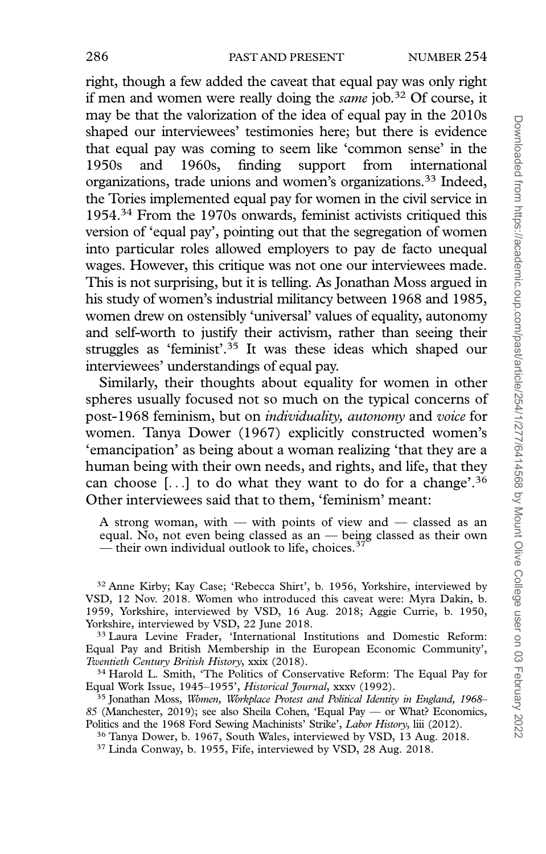right, though a few added the caveat that equal pay was only right if men and women were really doing the *same* job.<sup>32</sup> Of course, it may be that the valorization of the idea of equal pay in the 2010s shaped our interviewees' testimonies here; but there is evidence that equal pay was coming to seem like 'common sense' in the 1950s and 1960s, finding support from international 1950s and 1960s, finding support from international organizations, trade unions and women's organizations.33 Indeed, the Tories implemented equal pay for women in the civil service in 1954.34 From the 1970s onwards, feminist activists critiqued this version of 'equal pay', pointing out that the segregation of women into particular roles allowed employers to pay de facto unequal wages. However, this critique was not one our interviewees made. This is not surprising, but it is telling. As Jonathan Moss argued in his study of women's industrial militancy between 1968 and 1985, women drew on ostensibly 'universal' values of equality, autonomy and self-worth to justify their activism, rather than seeing their struggles as 'feminist'.35 It was these ideas which shaped our interviewees' understandings of equal pay.

Similarly, their thoughts about equality for women in other spheres usually focused not so much on the typical concerns of post-1968 feminism, but on individuality, autonomy and voice for women. Tanya Dower (1967) explicitly constructed women's 'emancipation' as being about a woman realizing 'that they are a human being with their own needs, and rights, and life, that they can choose  $[...]$  to do what they want to do for a change'.<sup>36</sup> Other interviewees said that to them, 'feminism' meant:

A strong woman, with — with points of view and — classed as an equal. No, not even being classed as an — being classed as their own — their own individual outlook to life, choices.<sup>37</sup>

<sup>32</sup> Anne Kirby; Kay Case; 'Rebecca Shirt', b. 1956, Yorkshire, interviewed by VSD, 12 Nov. 2018. Women who introduced this caveat were: Myra Dakin, b. 1959, Yorkshire, interviewed by VSD, 16 Aug. 2018; Aggie Currie, b. 1950, Yorkshire, interviewed by VSD, 22 June 2018.

<sup>33</sup> Laura Levine Frader, 'International Institutions and Domestic Reform: Equal Pay and British Membership in the European Economic Community', Twentieth Century British History, xxix (2018).

<sup>34</sup> Harold L. Smith, 'The Politics of Conservative Reform: The Equal Pay for Equal Work Issue, 1945-1955', Historical Journal, xxxv (1992).

<sup>35</sup> Jonathan Moss, Women, Workplace Protest and Political Identity in England, 1968– 85 (Manchester, 2019); see also Sheila Cohen, 'Equal Pay — or What? Economics, Politics and the 1968 Ford Sewing Machinists' Strike', *Labor History*, liii (2012).

<sup>36</sup> Tanya Dower, b. 1967, South Wales, interviewed by VSD, 13 Aug. 2018.

<sup>37</sup> Linda Conway, b. 1955, Fife, interviewed by VSD, 28 Aug. 2018.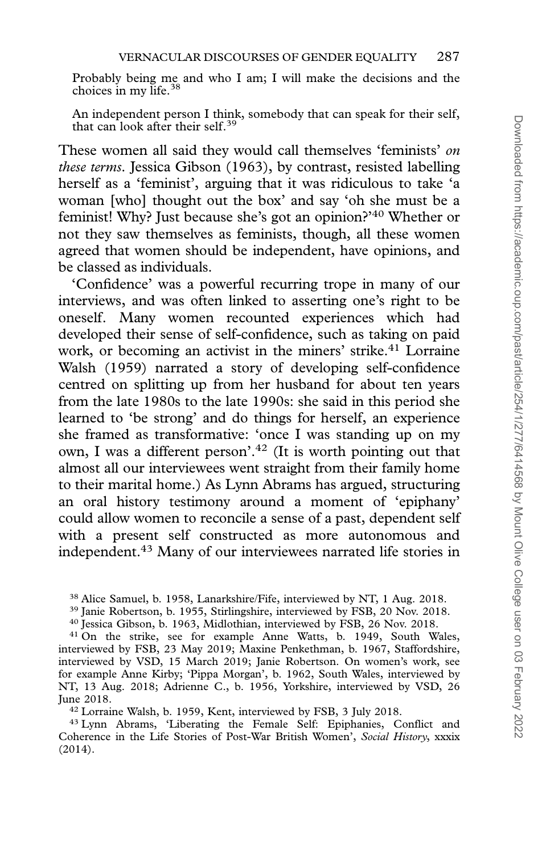Probably being me and who I am; I will make the decisions and the choices in my life.<sup>38</sup>

An independent person I think, somebody that can speak for their self, that can look after their self.<sup>39</sup>

These women all said they would call themselves 'feminists' on these terms. Jessica Gibson (1963), by contrast, resisted labelling herself as a 'feminist', arguing that it was ridiculous to take 'a woman [who] thought out the box' and say 'oh she must be a feminist! Why? Just because she's got an opinion?'40 Whether or not they saw themselves as feminists, though, all these women agreed that women should be independent, have opinions, and be classed as individuals.

'Confidence' was a powerful recurring trope in many of our interviews, and was often linked to asserting one's right to be oneself. Many women recounted experiences which had developed their sense of self-confidence, such as taking on paid work, or becoming an activist in the miners' strike.<sup>41</sup> Lorraine Walsh (1959) narrated a story of developing self-confidence centred on splitting up from her husband for about ten years from the late 1980s to the late 1990s: she said in this period she learned to 'be strong' and do things for herself, an experience she framed as transformative: 'once I was standing up on my own, I was a different person'.<sup>42</sup> (It is worth pointing out that almost all our interviewees went straight from their family home to their marital home.) As Lynn Abrams has argued, structuring an oral history testimony around a moment of 'epiphany' could allow women to reconcile a sense of a past, dependent self with a present self constructed as more autonomous and independent.43 Many of our interviewees narrated life stories in

<sup>38</sup> Alice Samuel, b. 1958, Lanarkshire/Fife, interviewed by NT, 1 Aug. 2018.

<sup>39</sup> Janie Robertson, b. 1955, Stirlingshire, interviewed by FSB, 20 Nov. 2018.

<sup>40</sup> Jessica Gibson, b. 1963, Midlothian, interviewed by FSB, 26 Nov. 2018.

<sup>41</sup> On the strike, see for example Anne Watts, b. 1949, South Wales, interviewed by FSB, 23 May 2019; Maxine Penkethman, b. 1967, Staffordshire, interviewed by VSD, 15 March 2019; Janie Robertson. On women's work, see for example Anne Kirby; 'Pippa Morgan', b. 1962, South Wales, interviewed by NT, 13 Aug. 2018; Adrienne C., b. 1956, Yorkshire, interviewed by VSD, 26 June 2018.

<sup>42</sup> Lorraine Walsh, b. 1959, Kent, interviewed by FSB, 3 July 2018.

<sup>43</sup> Lynn Abrams, 'Liberating the Female Self: Epiphanies, Conflict and Coherence in the Life Stories of Post-War British Women', Social History, xxxix (2014).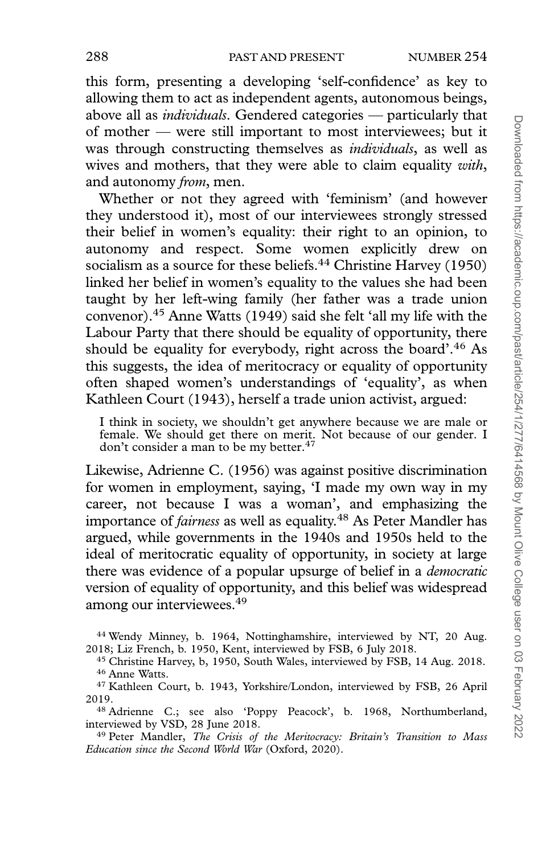this form, presenting a developing 'self-confidence' as key to allowing them to act as independent agents, autonomous beings, above all as individuals. Gendered categories — particularly that of mother — were still important to most interviewees; but it was through constructing themselves as *individuals*, as well as wives and mothers, that they were able to claim equality with, and autonomy *from*, men.

Whether or not they agreed with 'feminism' (and however they understood it), most of our interviewees strongly stressed their belief in women's equality: their right to an opinion, to autonomy and respect. Some women explicitly drew on socialism as a source for these beliefs.<sup>44</sup> Christine Harvey (1950) linked her belief in women's equality to the values she had been taught by her left-wing family (her father was a trade union convenor).45 Anne Watts (1949) said she felt 'all my life with the Labour Party that there should be equality of opportunity, there should be equality for everybody, right across the board'.46 As this suggests, the idea of meritocracy or equality of opportunity often shaped women's understandings of 'equality', as when Kathleen Court (1943), herself a trade union activist, argued:

I think in society, we shouldn't get anywhere because we are male or female. We should get there on merit. Not because of our gender. I don't consider a man to be my better.47

Likewise, Adrienne C. (1956) was against positive discrimination for women in employment, saying, 'I made my own way in my career, not because I was a woman', and emphasizing the importance of *fairness* as well as equality.<sup>48</sup> As Peter Mandler has argued, while governments in the 1940s and 1950s held to the ideal of meritocratic equality of opportunity, in society at large there was evidence of a popular upsurge of belief in a democratic version of equality of opportunity, and this belief was widespread among our interviewees.49

<sup>44</sup> Wendy Minney, b. 1964, Nottinghamshire, interviewed by NT, 20 Aug. 2018; Liz French, b. 1950, Kent, interviewed by FSB, 6 July 2018.

<sup>45</sup> Christine Harvey, b, 1950, South Wales, interviewed by FSB, 14 Aug. 2018. <sup>46</sup> Anne Watts.

<sup>47</sup> Kathleen Court, b. 1943, Yorkshire/London, interviewed by FSB, 26 April 2019.

<sup>48</sup> Adrienne C.; see also 'Poppy Peacock', b. 1968, Northumberland, interviewed by VSD, 28 June 2018.

<sup>49</sup> Peter Mandler, The Crisis of the Meritocracy: Britain's Transition to Mass Education since the Second World War (Oxford, 2020).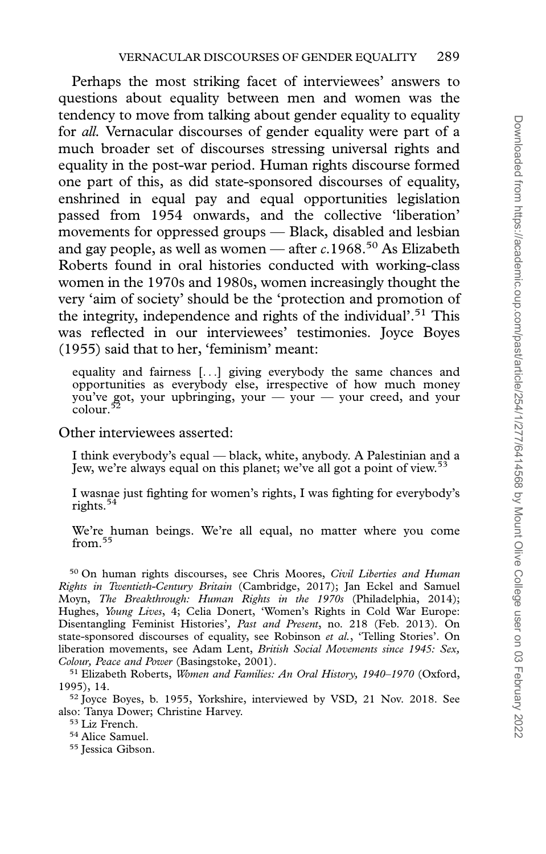Perhaps the most striking facet of interviewees' answers to questions about equality between men and women was the tendency to move from talking about gender equality to equality for all. Vernacular discourses of gender equality were part of a much broader set of discourses stressing universal rights and equality in the post-war period. Human rights discourse formed one part of this, as did state-sponsored discourses of equality, enshrined in equal pay and equal opportunities legislation passed from 1954 onwards, and the collective 'liberation' movements for oppressed groups — Black, disabled and lesbian and gay people, as well as women — after  $c.1968$ <sup>50</sup> As Elizabeth Roberts found in oral histories conducted with working-class women in the 1970s and 1980s, women increasingly thought the very 'aim of society' should be the 'protection and promotion of the integrity, independence and rights of the individual'.51 This was reflected in our interviewees' testimonies. Joyce Boyes (1955) said that to her, 'feminism' meant:

equality and fairness [...] giving everybody the same chances and opportunities as everybody else, irrespective of how much money you've got, your upbringing, your — your — your creed, and your colour.<sup>52</sup>

Other interviewees asserted:

I think everybody's equal — black, white, anybody. A Palestinian and a Jew, we're always equal on this planet; we've all got a point of view.53

I wasnae just fighting for women's rights, I was fighting for everybody's rights.54

We're human beings. We're all equal, no matter where you come from.<sup>55</sup>

<sup>50</sup> On human rights discourses, see Chris Moores, Civil Liberties and Human Rights in Twentieth-Century Britain (Cambridge, 2017); Jan Eckel and Samuel Moyn, The Breakthrough: Human Rights in the 1970s (Philadelphia, 2014); Hughes, *Young Lives*, 4; Celia Donert, 'Women's Rights in Cold War Europe: Disentangling Feminist Histories', Past and Present, no. 218 (Feb. 2013). On state-sponsored discourses of equality, see Robinson et al., 'Telling Stories'. On liberation movements, see Adam Lent, British Social Movements since 1945: Sex, Colour, Peace and Power (Basingstoke, 2001).

<sup>51</sup> Elizabeth Roberts, Women and Families: An Oral History, 1940-1970 (Oxford, 1995), 14.

<sup>52</sup> Joyce Boyes, b. 1955, Yorkshire, interviewed by VSD, 21 Nov. 2018. See also: Tanya Dower; Christine Harvey.

<sup>53</sup> Liz French.

<sup>54</sup> Alice Samuel.

<sup>55</sup> Jessica Gibson.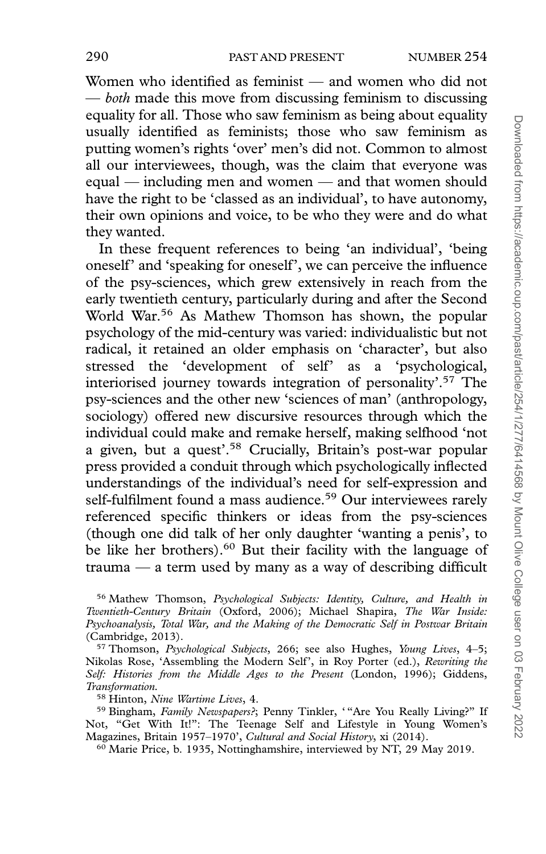Women who identified as feminist — and women who did not — both made this move from discussing feminism to discussing equality for all. Those who saw feminism as being about equality usually identified as feminists; those who saw feminism as putting women's rights 'over' men's did not. Common to almost all our interviewees, though, was the claim that everyone was equal — including men and women — and that women should have the right to be 'classed as an individual', to have autonomy, their own opinions and voice, to be who they were and do what they wanted.

In these frequent references to being 'an individual', 'being oneself' and 'speaking for oneself', we can perceive the influence of the psy-sciences, which grew extensively in reach from the early twentieth century, particularly during and after the Second World War.<sup>56</sup> As Mathew Thomson has shown, the popular psychology of the mid-century was varied: individualistic but not radical, it retained an older emphasis on 'character', but also stressed the 'development of self' as a 'psychological, interiorised journey towards integration of personality'.57 The psy-sciences and the other new 'sciences of man' (anthropology, sociology) offered new discursive resources through which the individual could make and remake herself, making selfhood 'not a given, but a quest'.58 Crucially, Britain's post-war popular press provided a conduit through which psychologically inflected understandings of the individual's need for self-expression and self-fulfilment found a mass audience.<sup>59</sup> Our interviewees rarely referenced specific thinkers or ideas from the psy-sciences (though one did talk of her only daughter 'wanting a penis', to be like her brothers).<sup>60</sup> But their facility with the language of trauma — a term used by many as a way of describing difficult

<sup>58</sup> Hinton, Nine Wartime Lives, 4.

<sup>60</sup> Marie Price, b. 1935, Nottinghamshire, interviewed by NT, 29 May 2019.

<sup>56</sup> Mathew Thomson, Psychological Subjects: Identity, Culture, and Health in Twentieth-Century Britain (Oxford, 2006); Michael Shapira, The War Inside: Psychoanalysis, Total War, and the Making of the Democratic Self in Postwar Britain (Cambridge, 2013).

<sup>&</sup>lt;sup>57</sup> Thomson, *Psychological Subjects*, 266; see also Hughes, *Young Lives*, 4–5; Nikolas Rose, 'Assembling the Modern Self', in Roy Porter (ed.), Rewriting the Self: Histories from the Middle Ages to the Present (London, 1996); Giddens, Transformation.

<sup>&</sup>lt;sup>59</sup> Bingham, Family Newspapers?; Penny Tinkler, "Are You Really Living?" If Not, "Get With It!": The Teenage Self and Lifestyle in Young Women's Magazines, Britain 1957–1970', Cultural and Social History, xi (2014).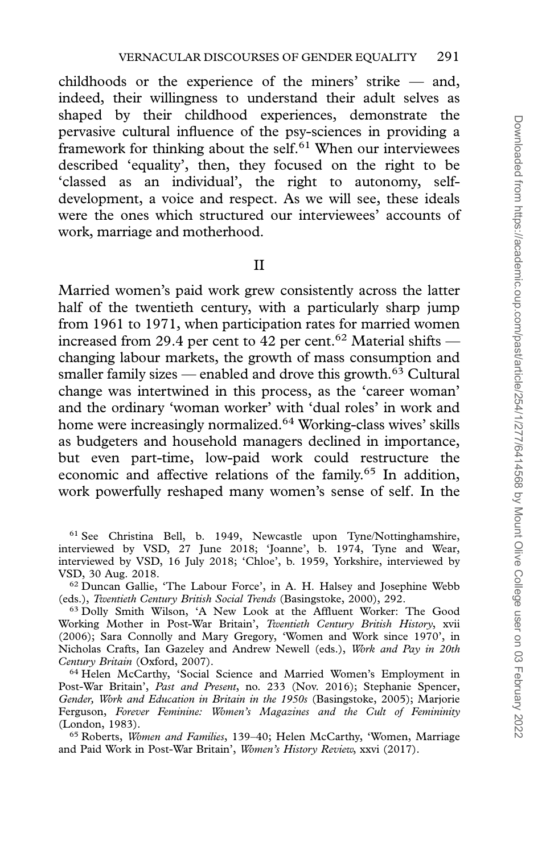childhoods or the experience of the miners' strike — and, indeed, their willingness to understand their adult selves as shaped by their childhood experiences, demonstrate the pervasive cultural influence of the psy-sciences in providing a framework for thinking about the self. $61$  When our interviewees described 'equality', then, they focused on the right to be 'classed as an individual', the right to autonomy, selfdevelopment, a voice and respect. As we will see, these ideals were the ones which structured our interviewees' accounts of work, marriage and motherhood.

II

Married women's paid work grew consistently across the latter half of the twentieth century, with a particularly sharp jump from 1961 to 1971, when participation rates for married women increased from 29.4 per cent to 42 per cent.<sup>62</sup> Material shifts changing labour markets, the growth of mass consumption and smaller family sizes — enabled and drove this growth.<sup>63</sup> Cultural change was intertwined in this process, as the 'career woman' and the ordinary 'woman worker' with 'dual roles' in work and home were increasingly normalized.64 Working-class wives' skills as budgeters and household managers declined in importance, but even part-time, low-paid work could restructure the economic and affective relations of the family.<sup>65</sup> In addition, work powerfully reshaped many women's sense of self. In the

<sup>64</sup> Helen McCarthy, 'Social Science and Married Women's Employment in Post-War Britain', Past and Present, no. 233 (Nov. 2016); Stephanie Spencer, Gender, Work and Education in Britain in the 1950s (Basingstoke, 2005); Marjorie Ferguson, Forever Feminine: Women's Magazines and the Cult of Femininity (London, 1983).

<sup>61</sup> See Christina Bell, b. 1949, Newcastle upon Tyne/Nottinghamshire, interviewed by VSD, 27 June 2018; 'Joanne', b. 1974, Tyne and Wear, interviewed by VSD, 16 July 2018; 'Chloe', b. 1959, Yorkshire, interviewed by VSD, 30 Aug. 2018.

<sup>62</sup> Duncan Gallie, 'The Labour Force', in A. H. Halsey and Josephine Webb (eds.), Twentieth Century British Social Trends (Basingstoke, 2000), 292.

<sup>63</sup> Dolly Smith Wilson, 'A New Look at the Affluent Worker: The Good Working Mother in Post-War Britain', Twentieth Century British History, xvii (2006); Sara Connolly and Mary Gregory, 'Women and Work since 1970', in Nicholas Crafts, Ian Gazeley and Andrew Newell (eds.), Work and Pay in 20th Century Britain (Oxford, 2007).

<sup>65</sup> Roberts, Women and Families, 139–40; Helen McCarthy, 'Women, Marriage and Paid Work in Post-War Britain', Women's History Review, xxvi (2017).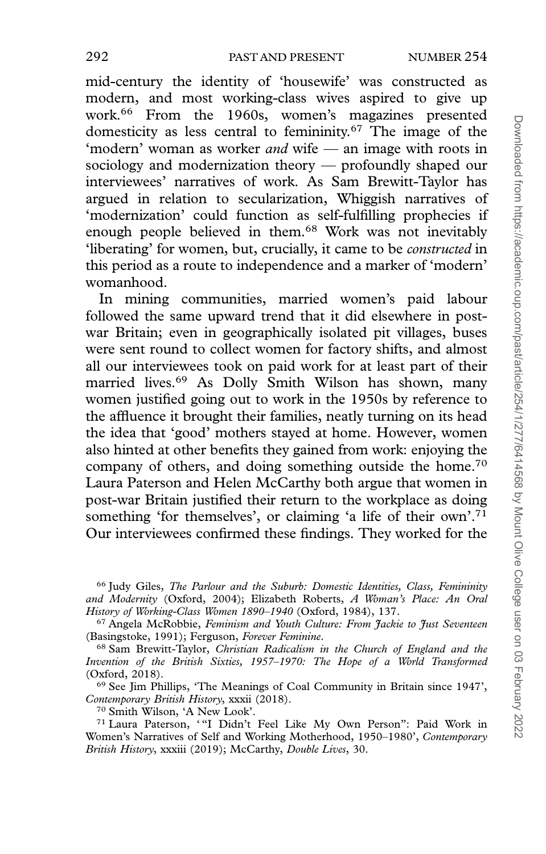mid-century the identity of 'housewife' was constructed as modern, and most working-class wives aspired to give up work.66 From the 1960s, women's magazines presented domesticity as less central to femininity.67 The image of the 'modern' woman as worker and wife — an image with roots in sociology and modernization theory — profoundly shaped our interviewees' narratives of work. As Sam Brewitt-Taylor has argued in relation to secularization, Whiggish narratives of 'modernization' could function as self-fulfilling prophecies if enough people believed in them.68 Work was not inevitably 'liberating' for women, but, crucially, it came to be constructed in this period as a route to independence and a marker of 'modern' womanhood.

In mining communities, married women's paid labour followed the same upward trend that it did elsewhere in postwar Britain; even in geographically isolated pit villages, buses were sent round to collect women for factory shifts, and almost all our interviewees took on paid work for at least part of their married lives.69 As Dolly Smith Wilson has shown, many women justified going out to work in the 1950s by reference to the affluence it brought their families, neatly turning on its head the idea that 'good' mothers stayed at home. However, women also hinted at other benefits they gained from work: enjoying the company of others, and doing something outside the home.70 Laura Paterson and Helen McCarthy both argue that women in post-war Britain justified their return to the workplace as doing something 'for themselves', or claiming 'a life of their own'.71 Our interviewees confirmed these findings. They worked for the

<sup>66</sup> Judy Giles, The Parlour and the Suburb: Domestic Identities, Class, Femininity and Modernity (Oxford, 2004); Elizabeth Roberts, A Woman's Place: An Oral History of Working-Class Women 1890–1940 (Oxford, 1984), 137.

<sup>67</sup> Angela McRobbie, Feminism and Youth Culture: From Jackie to Just Seventeen (Basingstoke, 1991); Ferguson, Forever Feminine.

<sup>68</sup> Sam Brewitt-Taylor, Christian Radicalism in the Church of England and the Invention of the British Sixties, 1957–1970: The Hope of a World Transformed (Oxford, 2018).

<sup>69</sup> See Jim Phillips, 'The Meanings of Coal Community in Britain since 1947', Contemporary British History, xxxii (2018).

<sup>70</sup> Smith Wilson, 'A New Look'.

<sup>71</sup> Laura Paterson, '"I Didn't Feel Like My Own Person": Paid Work in Women's Narratives of Self and Working Motherhood, 1950–1980', Contemporary British History, xxxiii (2019); McCarthy, Double Lives, 30.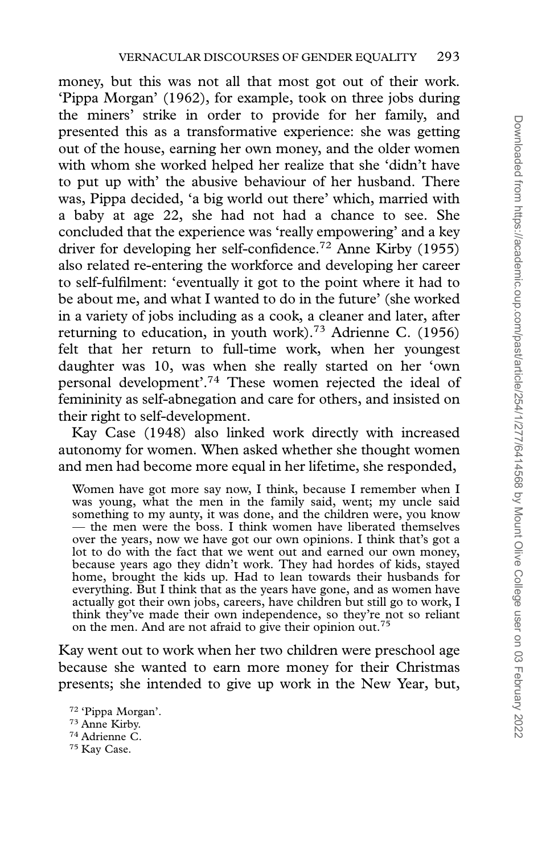money, but this was not all that most got out of their work. 'Pippa Morgan' (1962), for example, took on three jobs during the miners' strike in order to provide for her family, and presented this as a transformative experience: she was getting out of the house, earning her own money, and the older women with whom she worked helped her realize that she 'didn't have to put up with' the abusive behaviour of her husband. There was, Pippa decided, 'a big world out there' which, married with a baby at age 22, she had not had a chance to see. She concluded that the experience was 'really empowering' and a key driver for developing her self-confidence.<sup>72</sup> Anne Kirby (1955) also related re-entering the workforce and developing her career to self-fulfilment: 'eventually it got to the point where it had to be about me, and what I wanted to do in the future' (she worked in a variety of jobs including as a cook, a cleaner and later, after returning to education, in youth work).73 Adrienne C. (1956) felt that her return to full-time work, when her youngest daughter was 10, was when she really started on her 'own personal development'.74 These women rejected the ideal of femininity as self-abnegation and care for others, and insisted on their right to self-development.

Kay Case (1948) also linked work directly with increased autonomy for women. When asked whether she thought women and men had become more equal in her lifetime, she responded,

Women have got more say now, I think, because I remember when I was young, what the men in the family said, went; my uncle said something to my aunty, it was done, and the children were, you know — the men were the boss. I think women have liberated themselves over the years, now we have got our own opinions. I think that's got a lot to do with the fact that we went out and earned our own money, because years ago they didn't work. They had hordes of kids, stayed home, brought the kids up. Had to lean towards their husbands for everything. But I think that as the years have gone, and as women have actually got their own jobs, careers, have children but still go to work, I think they've made their own independence, so they're not so reliant on the men. And are not afraid to give their opinion out.

Kay went out to work when her two children were preschool age because she wanted to earn more money for their Christmas presents; she intended to give up work in the New Year, but,

<sup>72</sup> 'Pippa Morgan'. <sup>73</sup> Anne Kirby. <sup>74</sup> Adrienne C. <sup>75</sup> Kay Case.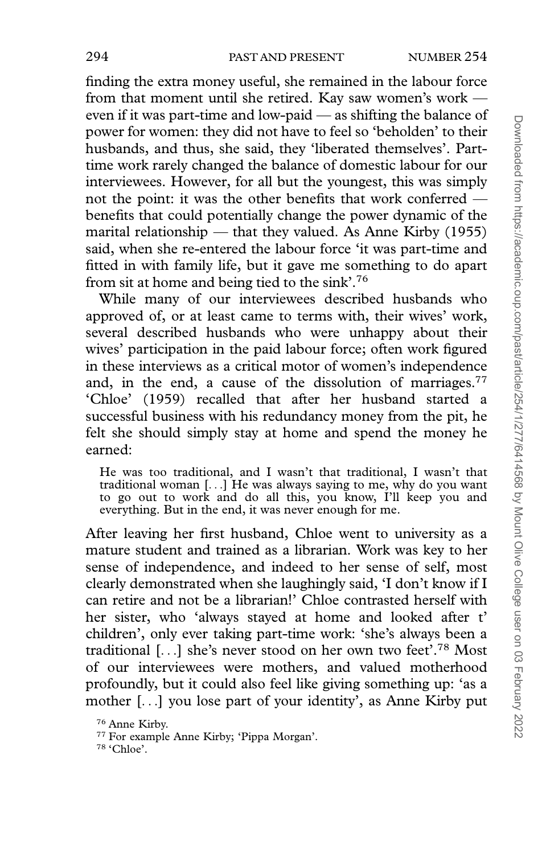finding the extra money useful, she remained in the labour force from that moment until she retired. Kay saw women's work even if it was part-time and low-paid — as shifting the balance of power for women: they did not have to feel so 'beholden' to their husbands, and thus, she said, they 'liberated themselves'. Parttime work rarely changed the balance of domestic labour for our interviewees. However, for all but the youngest, this was simply not the point: it was the other benefits that work conferred benefits that could potentially change the power dynamic of the marital relationship — that they valued. As Anne Kirby (1955) said, when she re-entered the labour force 'it was part-time and fitted in with family life, but it gave me something to do apart from sit at home and being tied to the sink'.76

While many of our interviewees described husbands who approved of, or at least came to terms with, their wives' work, several described husbands who were unhappy about their wives' participation in the paid labour force; often work figured in these interviews as a critical motor of women's independence and, in the end, a cause of the dissolution of marriages.<sup>77</sup> 'Chloe' (1959) recalled that after her husband started a successful business with his redundancy money from the pit, he felt she should simply stay at home and spend the money he earned:

He was too traditional, and I wasn't that traditional, I wasn't that traditional woman [...] He was always saying to me, why do you want to go out to work and do all this, you know, I'll keep you and everything. But in the end, it was never enough for me.

After leaving her first husband, Chloe went to university as a mature student and trained as a librarian. Work was key to her sense of independence, and indeed to her sense of self, most clearly demonstrated when she laughingly said, 'I don't know if I can retire and not be a librarian!' Chloe contrasted herself with her sister, who 'always stayed at home and looked after t' children', only ever taking part-time work: 'she's always been a traditional [...] she's never stood on her own two feet'.78 Most of our interviewees were mothers, and valued motherhood profoundly, but it could also feel like giving something up: 'as a mother [...] you lose part of your identity', as Anne Kirby put

<sup>76</sup> Anne Kirby.

<sup>77</sup> For example Anne Kirby; 'Pippa Morgan'.

<sup>78</sup> 'Chloe'.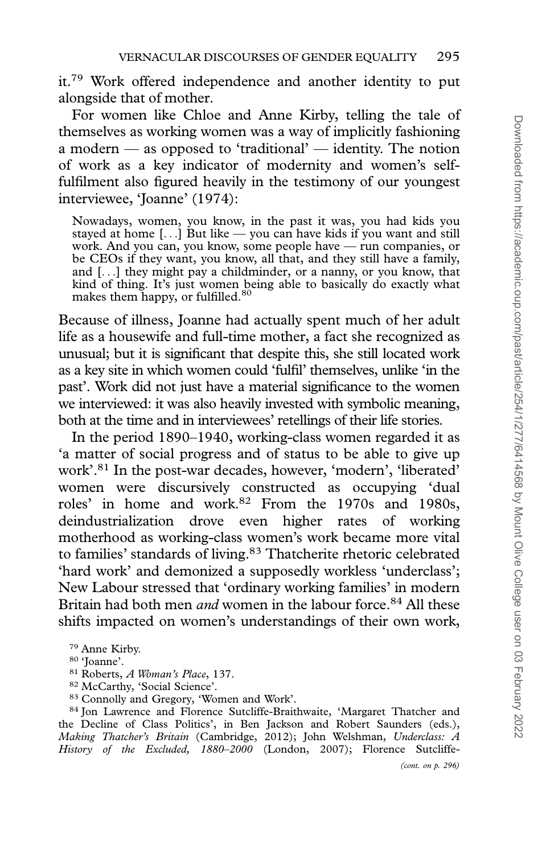it.79 Work offered independence and another identity to put alongside that of mother.

For women like Chloe and Anne Kirby, telling the tale of themselves as working women was a way of implicitly fashioning a modern — as opposed to 'traditional' — identity. The notion of work as a key indicator of modernity and women's selffulfilment also figured heavily in the testimony of our youngest interviewee, 'Joanne' (1974):

Nowadays, women, you know, in the past it was, you had kids you stayed at home [...] But like — you can have kids if you want and still work. And you can, you know, some people have — run companies, or be CEOs if they want, you know, all that, and they still have a family, and [...] they might pay a childminder, or a nanny, or you know, that kind of thing. It's just women being able to basically do exactly what<br>makes them happy, or fulfilled.<sup>80</sup>

Because of illness, Joanne had actually spent much of her adult life as a housewife and full-time mother, a fact she recognized as unusual; but it is significant that despite this, she still located work as a key site in which women could 'fulfil' themselves, unlike 'in the past'. Work did not just have a material significance to the women we interviewed: it was also heavily invested with symbolic meaning, both at the time and in interviewees' retellings of their life stories.

In the period 1890–1940, working-class women regarded it as 'a matter of social progress and of status to be able to give up work'.81 In the post-war decades, however, 'modern', 'liberated' women were discursively constructed as occupying 'dual roles' in home and work.82 From the 1970s and 1980s, deindustrialization drove even higher rates of working motherhood as working-class women's work became more vital to families' standards of living.<sup>83</sup> Thatcherite rhetoric celebrated 'hard work' and demonized a supposedly workless 'underclass'; New Labour stressed that 'ordinary working families' in modern Britain had both men *and* women in the labour force.<sup>84</sup> All these shifts impacted on women's understandings of their own work,

<sup>84</sup> Jon Lawrence and Florence Sutcliffe-Braithwaite, 'Margaret Thatcher and the Decline of Class Politics', in Ben Jackson and Robert Saunders (eds.), Making Thatcher's Britain (Cambridge, 2012); John Welshman, Underclass: A History of the Excluded, 1880–2000 (London, 2007); Florence Sutcliffe-

<sup>79</sup> Anne Kirby.

<sup>80</sup> 'Joanne'.

<sup>81</sup> Roberts, A Woman's Place, 137.

<sup>82</sup> McCarthy, 'Social Science'.

<sup>83</sup> Connolly and Gregory, 'Women and Work'.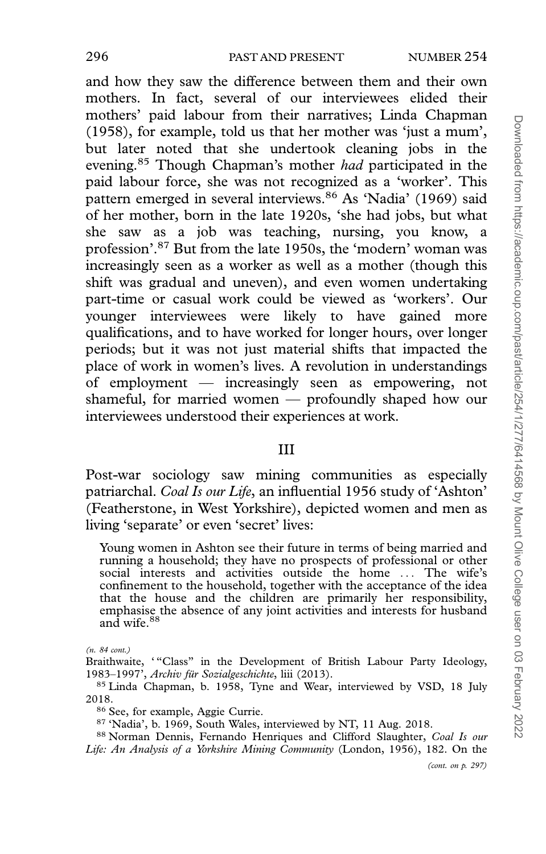and how they saw the difference between them and their own mothers. In fact, several of our interviewees elided their mothers' paid labour from their narratives; Linda Chapman (1958), for example, told us that her mother was 'just a mum', but later noted that she undertook cleaning jobs in the evening.<sup>85</sup> Though Chapman's mother had participated in the paid labour force, she was not recognized as a 'worker'. This pattern emerged in several interviews.<sup>86</sup> As 'Nadia' (1969) said of her mother, born in the late 1920s, 'she had jobs, but what she saw as a job was teaching, nursing, you know, a profession'.87 But from the late 1950s, the 'modern' woman was increasingly seen as a worker as well as a mother (though this shift was gradual and uneven), and even women undertaking part-time or casual work could be viewed as 'workers'. Our younger interviewees were likely to have gained more qualifications, and to have worked for longer hours, over longer periods; but it was not just material shifts that impacted the place of work in women's lives. A revolution in understandings of employment — increasingly seen as empowering, not shameful, for married women — profoundly shaped how our interviewees understood their experiences at work.

## III

Post-war sociology saw mining communities as especially patriarchal. Coal Is our Life, an influential 1956 study of 'Ashton' (Featherstone, in West Yorkshire), depicted women and men as living 'separate' or even 'secret' lives:

Young women in Ashton see their future in terms of being married and running a household; they have no prospects of professional or other social interests and activities outside the home ... The wife's confinement to the household, together with the acceptance of the idea that the house and the children are primarily her responsibility, emphasise the absence of any joint activities and interests for husband and wife.<sup>88</sup>

88 Norman Dennis, Fernando Henriques and Clifford Slaughter, Coal Is our Life: An Analysis of a Yorkshire Mining Community (London, 1956), 182. On the

(cont. on p. 297)

<sup>(</sup>n. 84 cont.)

Braithwaite, "Class" in the Development of British Labour Party Ideology, 1983–1997', Archiv für Sozialgeschichte, liii (2013).

<sup>85</sup> Linda Chapman, b. 1958, Tyne and Wear, interviewed by VSD, 18 July 2018.

<sup>86</sup> See, for example, Aggie Currie.

<sup>87</sup> 'Nadia', b. 1969, South Wales, interviewed by NT, 11 Aug. 2018.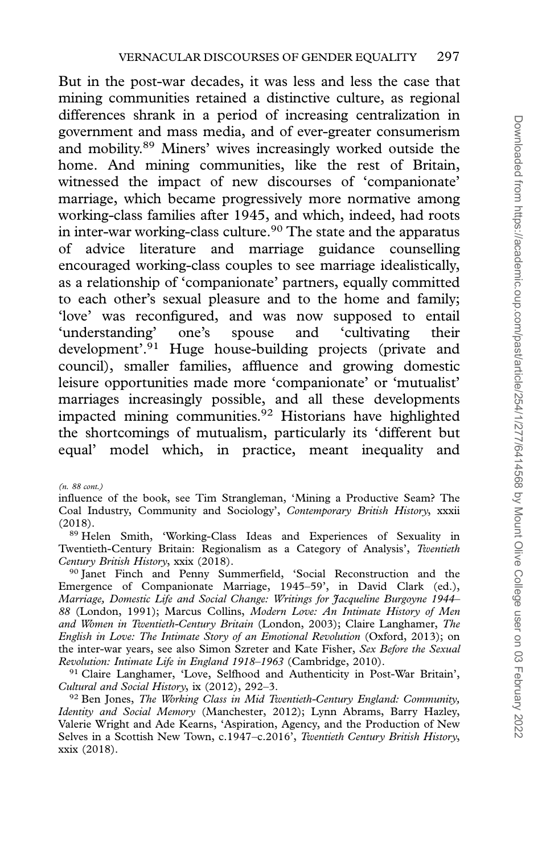But in the post-war decades, it was less and less the case that mining communities retained a distinctive culture, as regional differences shrank in a period of increasing centralization in government and mass media, and of ever-greater consumerism and mobility.89 Miners' wives increasingly worked outside the home. And mining communities, like the rest of Britain, witnessed the impact of new discourses of 'companionate' marriage, which became progressively more normative among working-class families after 1945, and which, indeed, had roots in inter-war working-class culture.<sup>90</sup> The state and the apparatus of advice literature and marriage guidance counselling encouraged working-class couples to see marriage idealistically, as a relationship of 'companionate' partners, equally committed to each other's sexual pleasure and to the home and family; 'love' was reconfigured, and was now supposed to entail 'understanding' one's spouse and 'cultivating their development'.91 Huge house-building projects (private and council), smaller families, affluence and growing domestic leisure opportunities made more 'companionate' or 'mutualist' marriages increasingly possible, and all these developments impacted mining communities.<sup>92</sup> Historians have highlighted the shortcomings of mutualism, particularly its 'different but equal' model which, in practice, meant inequality and

(n. 88 cont.)

influence of the book, see Tim Strangleman, 'Mining a Productive Seam? The Coal Industry, Community and Sociology', Contemporary British History, xxxii (2018).

<sup>89</sup> Helen Smith, 'Working-Class Ideas and Experiences of Sexuality in Twentieth-Century Britain: Regionalism as a Category of Analysis', Twentieth Century British History, xxix (2018).

<sup>90</sup> Janet Finch and Penny Summerfield, 'Social Reconstruction and the Emergence of Companionate Marriage, 1945–59', in David Clark (ed.), Marriage, Domestic Life and Social Change: Writings for Jacqueline Burgoyne 1944– 88 (London, 1991); Marcus Collins, Modern Love: An Intimate History of Men and Women in Twentieth-Century Britain (London, 2003); Claire Langhamer, The English in Love: The Intimate Story of an Emotional Revolution (Oxford, 2013); on the inter-war years, see also Simon Szreter and Kate Fisher, Sex Before the Sexual Revolution: Intimate Life in England 1918–1963 (Cambridge, 2010).

<sup>91</sup> Claire Langhamer, 'Love, Selfhood and Authenticity in Post-War Britain', Cultural and Social History, ix (2012), 292–3.

 $92$  Ben Jones, The Working Class in Mid Twentieth-Century England: Community, Identity and Social Memory (Manchester, 2012); Lynn Abrams, Barry Hazley, Valerie Wright and Ade Kearns, 'Aspiration, Agency, and the Production of New Selves in a Scottish New Town, c.1947–c.2016', Twentieth Century British History, xxix (2018).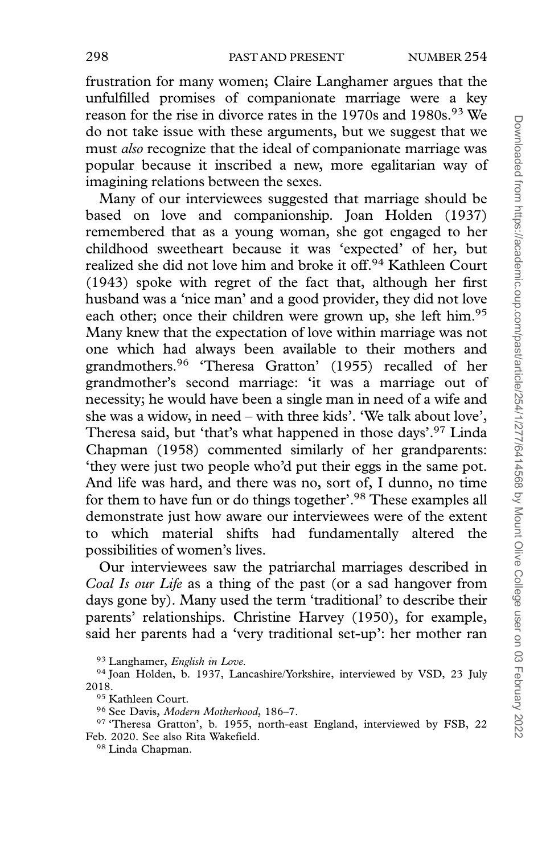frustration for many women; Claire Langhamer argues that the unfulfilled promises of companionate marriage were a key reason for the rise in divorce rates in the 1970s and 1980s.<sup>93</sup> We do not take issue with these arguments, but we suggest that we must also recognize that the ideal of companionate marriage was popular because it inscribed a new, more egalitarian way of imagining relations between the sexes.

Many of our interviewees suggested that marriage should be based on love and companionship. Joan Holden (1937) remembered that as a young woman, she got engaged to her childhood sweetheart because it was 'expected' of her, but realized she did not love him and broke it off.94 Kathleen Court (1943) spoke with regret of the fact that, although her first husband was a 'nice man' and a good provider, they did not love each other; once their children were grown up, she left him.<sup>95</sup> Many knew that the expectation of love within marriage was not one which had always been available to their mothers and grandmothers.96 'Theresa Gratton' (1955) recalled of her grandmother's second marriage: 'it was a marriage out of necessity; he would have been a single man in need of a wife and she was a widow, in need – with three kids'. 'We talk about love', Theresa said, but 'that's what happened in those days'.97 Linda Chapman (1958) commented similarly of her grandparents: 'they were just two people who'd put their eggs in the same pot. And life was hard, and there was no, sort of, I dunno, no time for them to have fun or do things together'.<sup>98</sup> These examples all demonstrate just how aware our interviewees were of the extent to which material shifts had fundamentally altered the possibilities of women's lives.

Our interviewees saw the patriarchal marriages described in Coal Is our Life as a thing of the past (or a sad hangover from days gone by). Many used the term 'traditional' to describe their parents' relationships. Christine Harvey (1950), for example, said her parents had a 'very traditional set-up': her mother ran

93 Langhamer, English in Love.

<sup>94</sup> Joan Holden, b. 1937, Lancashire/Yorkshire, interviewed by VSD, 23 July 2018.

<sup>95</sup> Kathleen Court.

<sup>96</sup> See Davis, Modern Motherhood, 186–7.

<sup>97</sup> 'Theresa Gratton', b. 1955, north-east England, interviewed by FSB, 22 Feb. 2020. See also Rita Wakefield.

<sup>98</sup> Linda Chapman.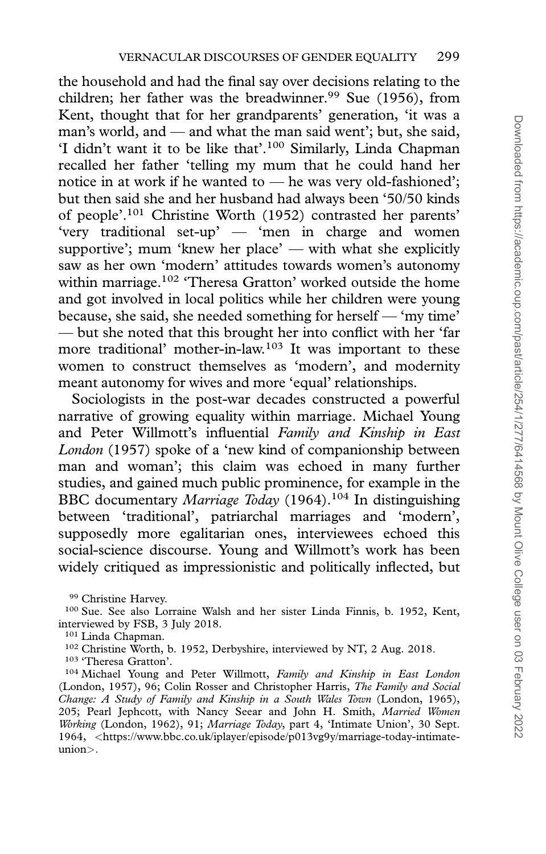the household and had the final say over decisions relating to the children; her father was the breadwinner.<sup>99</sup> Sue (1956), from Kent, thought that for her grandparents' generation, 'it was a man's world, and — and what the man said went'; but, she said, 'I didn't want it to be like that'.100 Similarly, Linda Chapman recalled her father 'telling my mum that he could hand her notice in at work if he wanted to — he was very old-fashioned'; but then said she and her husband had always been '50/50 kinds of people'.101 Christine Worth (1952) contrasted her parents' 'very traditional set-up' — 'men in charge and women supportive'; mum 'knew her place' — with what she explicitly saw as her own 'modern' attitudes towards women's autonomy within marriage.<sup>102</sup> 'Theresa Gratton' worked outside the home and got involved in local politics while her children were young because, she said, she needed something for herself — 'my time' — but she noted that this brought her into conflict with her 'far more traditional' mother-in-law.103 It was important to these women to construct themselves as 'modern', and modernity meant autonomy for wives and more 'equal' relationships.

Sociologists in the post-war decades constructed a powerful narrative of growing equality within marriage. Michael Young and Peter Willmott's influential Family and Kinship in East London (1957) spoke of a 'new kind of companionship between man and woman'; this claim was echoed in many further studies, and gained much public prominence, for example in the BBC documentary Marriage Today (1964).<sup>104</sup> In distinguishing between 'traditional', patriarchal marriages and 'modern', supposedly more egalitarian ones, interviewees echoed this social-science discourse. Young and Willmott's work has been widely critiqued as impressionistic and politically inflected, but

<sup>99</sup> Christine Harvey.

<sup>100</sup> Sue. See also Lorraine Walsh and her sister Linda Finnis, b. 1952, Kent, interviewed by FSB, 3 July 2018.

<sup>101</sup> Linda Chapman.

<sup>102</sup> Christine Worth, b. 1952, Derbyshire, interviewed by NT, 2 Aug. 2018.

<sup>103</sup> 'Theresa Gratton'.

<sup>&</sup>lt;sup>104</sup> Michael Young and Peter Willmott, Family and Kinship in East London (London, 1957), 96; Colin Rosser and Christopher Harris, The Family and Social Change: A Study of Family and Kinship in a South Wales Town (London, 1965), 205; Pearl Jephcott, with Nancy Seear and John H. Smith, Married Women Working (London, 1962), 91; Marriage Today, part 4, 'Intimate Union', 30 Sept. 1964, <[https://www.bbc.co.uk/iplayer/episode/p013vg9y/marriage-today-intimate](https://www.bbc.co.uk/iplayer/episode/p013vg9y/marriage-today-intimate-union)[union](https://www.bbc.co.uk/iplayer/episode/p013vg9y/marriage-today-intimate-union)>.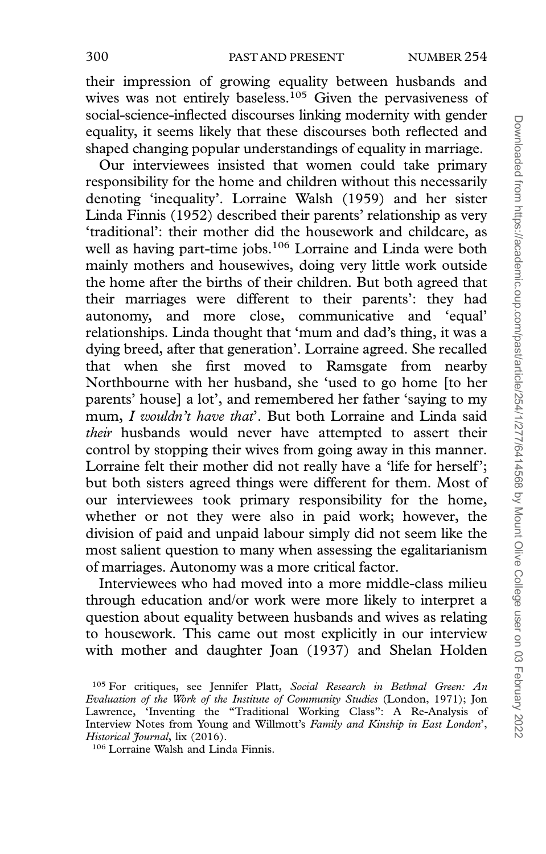their impression of growing equality between husbands and wives was not entirely baseless.<sup>105</sup> Given the pervasiveness of social-science-inflected discourses linking modernity with gender equality, it seems likely that these discourses both reflected and shaped changing popular understandings of equality in marriage.

Our interviewees insisted that women could take primary responsibility for the home and children without this necessarily denoting 'inequality'. Lorraine Walsh (1959) and her sister Linda Finnis (1952) described their parents' relationship as very 'traditional': their mother did the housework and childcare, as well as having part-time jobs.<sup>106</sup> Lorraine and Linda were both mainly mothers and housewives, doing very little work outside the home after the births of their children. But both agreed that their marriages were different to their parents': they had autonomy, and more close, communicative and 'equal' relationships. Linda thought that 'mum and dad's thing, it was a dying breed, after that generation'. Lorraine agreed. She recalled that when she first moved to Ramsgate from nearby Northbourne with her husband, she 'used to go home [to her parents' house] a lot', and remembered her father 'saying to my mum, I wouldn't have that'. But both Lorraine and Linda said their husbands would never have attempted to assert their control by stopping their wives from going away in this manner. Lorraine felt their mother did not really have a 'life for herself'; but both sisters agreed things were different for them. Most of our interviewees took primary responsibility for the home, whether or not they were also in paid work; however, the division of paid and unpaid labour simply did not seem like the most salient question to many when assessing the egalitarianism of marriages. Autonomy was a more critical factor.

Interviewees who had moved into a more middle-class milieu through education and/or work were more likely to interpret a question about equality between husbands and wives as relating to housework. This came out most explicitly in our interview with mother and daughter Joan (1937) and Shelan Holden

<sup>106</sup> Lorraine Walsh and Linda Finnis.

<sup>&</sup>lt;sup>105</sup> For critiques, see Jennifer Platt, Social Research in Bethnal Green: An Evaluation of the Work of the Institute of Community Studies (London, 1971); Jon Lawrence, 'Inventing the "Traditional Working Class": A Re-Analysis of Interview Notes from Young and Willmott's Family and Kinship in East London', Historical Journal, lix (2016).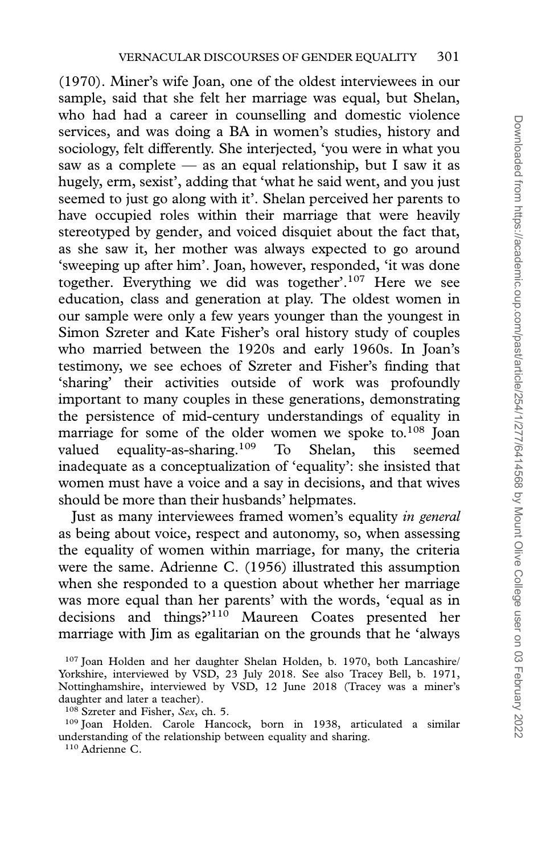(1970). Miner's wife Joan, one of the oldest interviewees in our sample, said that she felt her marriage was equal, but Shelan, who had had a career in counselling and domestic violence services, and was doing a BA in women's studies, history and sociology, felt differently. She interjected, 'you were in what you saw as a complete — as an equal relationship, but I saw it as hugely, erm, sexist', adding that 'what he said went, and you just seemed to just go along with it'. Shelan perceived her parents to have occupied roles within their marriage that were heavily stereotyped by gender, and voiced disquiet about the fact that, as she saw it, her mother was always expected to go around 'sweeping up after him'. Joan, however, responded, 'it was done together. Everything we did was together'.107 Here we see education, class and generation at play. The oldest women in our sample were only a few years younger than the youngest in Simon Szreter and Kate Fisher's oral history study of couples who married between the 1920s and early 1960s. In Joan's testimony, we see echoes of Szreter and Fisher's finding that 'sharing' their activities outside of work was profoundly important to many couples in these generations, demonstrating the persistence of mid-century understandings of equality in marriage for some of the older women we spoke to.<sup>108</sup> Joan valued equality-as-sharing.<sup>109</sup> To Shelan, this seemed inadequate as a conceptualization of 'equality': she insisted that women must have a voice and a say in decisions, and that wives should be more than their husbands' helpmates.

Just as many interviewees framed women's equality in general as being about voice, respect and autonomy, so, when assessing the equality of women within marriage, for many, the criteria were the same. Adrienne C. (1956) illustrated this assumption when she responded to a question about whether her marriage was more equal than her parents' with the words, 'equal as in decisions and things?'110 Maureen Coates presented her marriage with Jim as egalitarian on the grounds that he 'always

<sup>107</sup> Joan Holden and her daughter Shelan Holden, b. 1970, both Lancashire/ Yorkshire, interviewed by VSD, 23 July 2018. See also Tracey Bell, b. 1971, Nottinghamshire, interviewed by VSD, 12 June 2018 (Tracey was a miner's daughter and later a teacher).

<sup>109</sup> Joan Holden. Carole Hancock, born in 1938, articulated a similar understanding of the relationship between equality and sharing.

<sup>110</sup> Adrienne C.

<sup>&</sup>lt;sup>108</sup> Szreter and Fisher, Sex, ch. 5.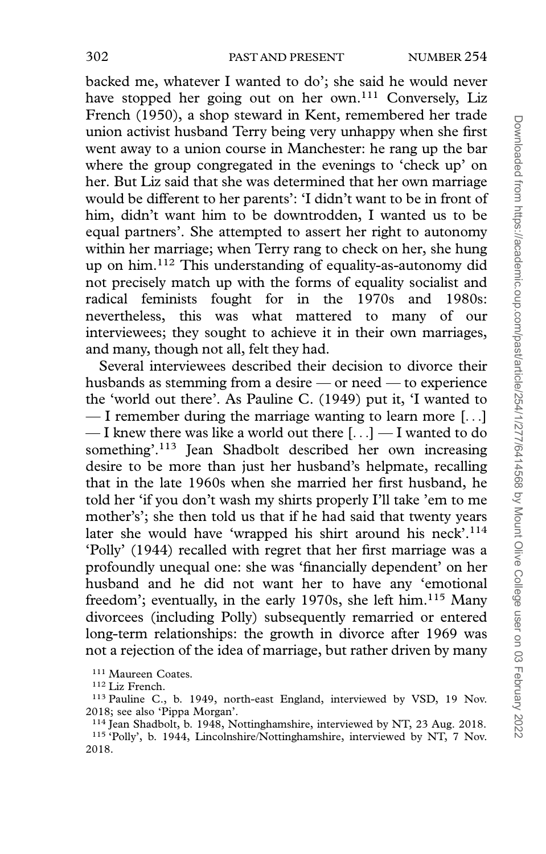backed me, whatever I wanted to do'; she said he would never have stopped her going out on her own.<sup>111</sup> Conversely, Liz French (1950), a shop steward in Kent, remembered her trade union activist husband Terry being very unhappy when she first went away to a union course in Manchester: he rang up the bar where the group congregated in the evenings to 'check up' on her. But Liz said that she was determined that her own marriage would be different to her parents': 'I didn't want to be in front of him, didn't want him to be downtrodden, I wanted us to be equal partners'. She attempted to assert her right to autonomy within her marriage; when Terry rang to check on her, she hung up on him.112 This understanding of equality-as-autonomy did not precisely match up with the forms of equality socialist and radical feminists fought for in the 1970s and 1980s: nevertheless, this was what mattered to many of our interviewees; they sought to achieve it in their own marriages, and many, though not all, felt they had.

Several interviewees described their decision to divorce their husbands as stemming from a desire — or need — to experience the 'world out there'. As Pauline C. (1949) put it, 'I wanted to — I remember during the marriage wanting to learn more [...] — I knew there was like a world out there [...] — I wanted to do something'.113 Jean Shadbolt described her own increasing desire to be more than just her husband's helpmate, recalling that in the late 1960s when she married her first husband, he told her 'if you don't wash my shirts properly I'll take 'em to me mother's'; she then told us that if he had said that twenty years later she would have 'wrapped his shirt around his neck'.<sup>114</sup> 'Polly' (1944) recalled with regret that her first marriage was a profoundly unequal one: she was 'financially dependent' on her husband and he did not want her to have any 'emotional freedom'; eventually, in the early 1970s, she left him.<sup>115</sup> Many divorcees (including Polly) subsequently remarried or entered long-term relationships: the growth in divorce after 1969 was not a rejection of the idea of marriage, but rather driven by many

<sup>111</sup> Maureen Coates.

<sup>112</sup> Liz French.

<sup>113</sup> Pauline C., b. 1949, north-east England, interviewed by VSD, 19 Nov. 2018; see also 'Pippa Morgan'.

<sup>114</sup> Jean Shadbolt, b. 1948, Nottinghamshire, interviewed by NT, 23 Aug. 2018.

<sup>&</sup>lt;sup>115</sup> 'Polly', b. 1944, Lincolnshire/Nottinghamshire, interviewed by NT, 7 Nov. 2018.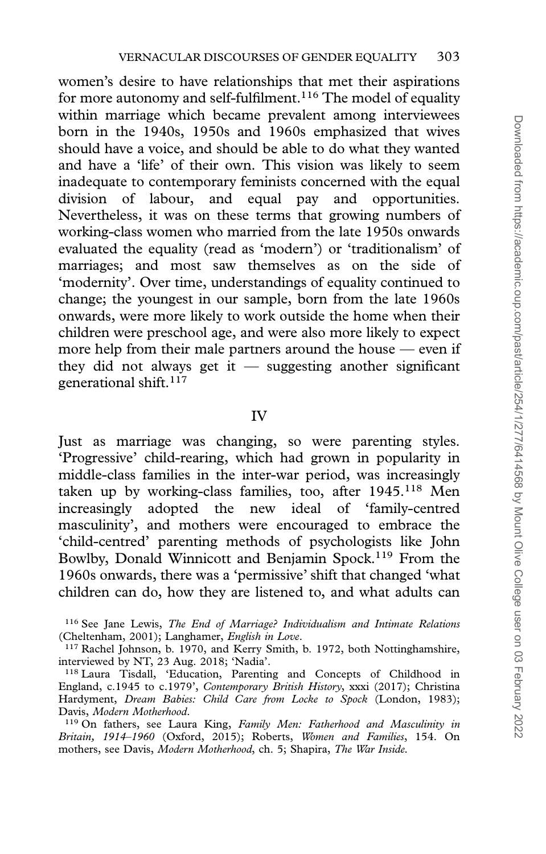women's desire to have relationships that met their aspirations for more autonomy and self-fulfilment.<sup>116</sup> The model of equality within marriage which became prevalent among interviewees born in the 1940s, 1950s and 1960s emphasized that wives should have a voice, and should be able to do what they wanted and have a 'life' of their own. This vision was likely to seem inadequate to contemporary feminists concerned with the equal division of labour, and equal pay and opportunities. Nevertheless, it was on these terms that growing numbers of working-class women who married from the late 1950s onwards evaluated the equality (read as 'modern') or 'traditionalism' of marriages; and most saw themselves as on the side of 'modernity'. Over time, understandings of equality continued to change; the youngest in our sample, born from the late 1960s onwards, were more likely to work outside the home when their children were preschool age, and were also more likely to expect more help from their male partners around the house — even if they did not always get it  $-$  suggesting another significant generational shift.117

## IV

Just as marriage was changing, so were parenting styles. 'Progressive' child-rearing, which had grown in popularity in middle-class families in the inter-war period, was increasingly taken up by working-class families, too, after  $1945$ <sup>118</sup> Men increasingly adopted the new ideal of 'family-centred masculinity', and mothers were encouraged to embrace the 'child-centred' parenting methods of psychologists like John Bowlby, Donald Winnicott and Benjamin Spock.119 From the 1960s onwards, there was a 'permissive' shift that changed 'what children can do, how they are listened to, and what adults can

<sup>116</sup> See Jane Lewis, The End of Marriage? Individualism and Intimate Relations (Cheltenham, 2001); Langhamer, English in Love.

<sup>&</sup>lt;sup>117</sup> Rachel Johnson, b. 1970, and Kerry Smith, b. 1972, both Nottinghamshire, interviewed by NT, 23 Aug. 2018; 'Nadia'.

<sup>118</sup> Laura Tisdall, 'Education, Parenting and Concepts of Childhood in England, c.1945 to c.1979', Contemporary British History, xxxi (2017); Christina Hardyment, Dream Babies: Child Care from Locke to Spock (London, 1983); Davis, Modern Motherhood.

<sup>&</sup>lt;sup>119</sup> On fathers, see Laura King, Family Men: Fatherhood and Masculinity in Britain, 1914–1960 (Oxford, 2015); Roberts, Women and Families, 154. On mothers, see Davis, Modern Motherhood, ch. 5; Shapira, The War Inside.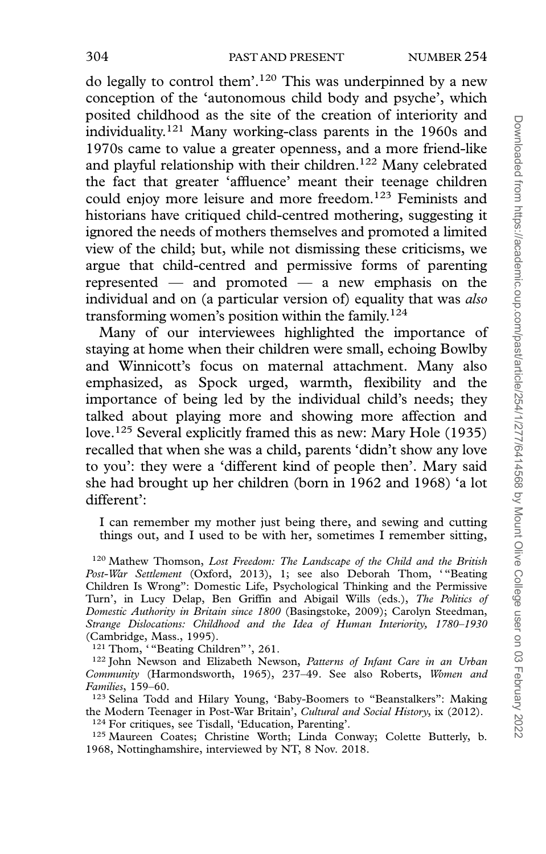do legally to control them'.120 This was underpinned by a new conception of the 'autonomous child body and psyche', which posited childhood as the site of the creation of interiority and individuality.121 Many working-class parents in the 1960s and 1970s came to value a greater openness, and a more friend-like and playful relationship with their children.122 Many celebrated the fact that greater 'affluence' meant their teenage children could enjoy more leisure and more freedom.123 Feminists and historians have critiqued child-centred mothering, suggesting it ignored the needs of mothers themselves and promoted a limited view of the child; but, while not dismissing these criticisms, we argue that child-centred and permissive forms of parenting represented — and promoted — a new emphasis on the individual and on (a particular version of) equality that was also transforming women's position within the family.124

Many of our interviewees highlighted the importance of staying at home when their children were small, echoing Bowlby and Winnicott's focus on maternal attachment. Many also emphasized, as Spock urged, warmth, flexibility and the importance of being led by the individual child's needs; they talked about playing more and showing more affection and love.125 Several explicitly framed this as new: Mary Hole (1935) recalled that when she was a child, parents 'didn't show any love to you': they were a 'different kind of people then'. Mary said she had brought up her children (born in 1962 and 1968) 'a lot different':

I can remember my mother just being there, and sewing and cutting things out, and I used to be with her, sometimes I remember sitting,

<sup>120</sup> Mathew Thomson, Lost Freedom: The Landscape of the Child and the British Post-War Settlement (Oxford, 2013), 1; see also Deborah Thom, "Beating Children Is Wrong": Domestic Life, Psychological Thinking and the Permissive Turn', in Lucy Delap, Ben Griffin and Abigail Wills (eds.), The Politics of Domestic Authority in Britain since 1800 (Basingstoke, 2009); Carolyn Steedman, Strange Dislocations: Childhood and the Idea of Human Interiority, 1780–1930 (Cambridge, Mass., 1995).

<sup>121</sup> Thom, "Beating Children"', 261.

<sup>122</sup> John Newson and Elizabeth Newson, Patterns of Infant Care in an Urban Community (Harmondsworth, 1965), 237–49. See also Roberts, Women and Families, 159–60.

<sup>123</sup> Selina Todd and Hilary Young, 'Baby-Boomers to "Beanstalkers": Making the Modern Teenager in Post-War Britain', Cultural and Social History, ix (2012). <sup>124</sup> For critiques, see Tisdall, 'Education, Parenting'.

<sup>125</sup> Maureen Coates; Christine Worth; Linda Conway; Colette Butterly, b. 1968, Nottinghamshire, interviewed by NT, 8 Nov. 2018.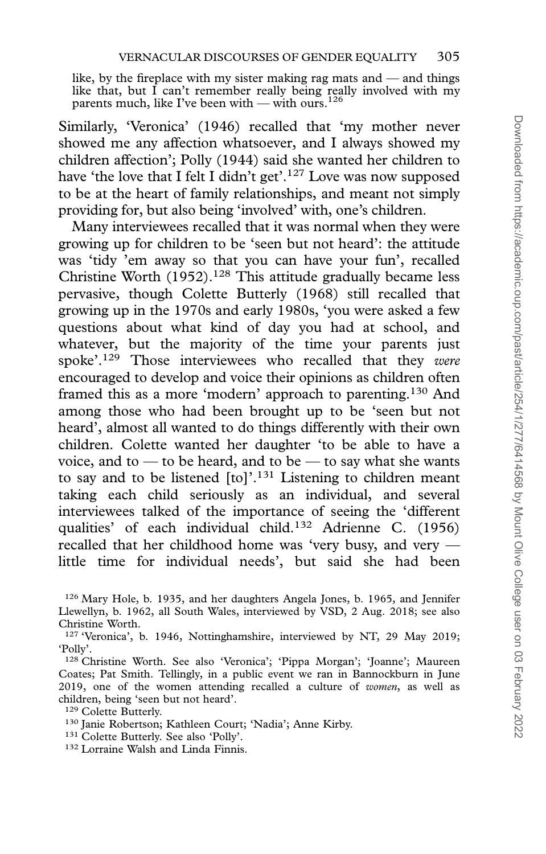like, by the fireplace with my sister making rag mats and — and things like that, but  $\hat{I}$  can't remember really being really involved with my parents much, like I've been with — with ours.<sup>126</sup>

Similarly, 'Veronica' (1946) recalled that 'my mother never showed me any affection whatsoever, and I always showed my children affection'; Polly (1944) said she wanted her children to have 'the love that I felt I didn't get'.<sup>127</sup> Love was now supposed to be at the heart of family relationships, and meant not simply providing for, but also being 'involved' with, one's children.

Many interviewees recalled that it was normal when they were growing up for children to be 'seen but not heard': the attitude was 'tidy 'em away so that you can have your fun', recalled Christine Worth  $(1952).<sup>128</sup>$  This attitude gradually became less pervasive, though Colette Butterly (1968) still recalled that growing up in the 1970s and early 1980s, 'you were asked a few questions about what kind of day you had at school, and whatever, but the majority of the time your parents just spoke'.<sup>129</sup> Those interviewees who recalled that they were encouraged to develop and voice their opinions as children often framed this as a more 'modern' approach to parenting.130 And among those who had been brought up to be 'seen but not heard', almost all wanted to do things differently with their own children. Colette wanted her daughter 'to be able to have a voice, and to  $-$  to be heard, and to be  $-$  to say what she wants to say and to be listened [to]'.<sup>131</sup> Listening to children meant taking each child seriously as an individual, and several interviewees talked of the importance of seeing the 'different qualities' of each individual child.132 Adrienne C. (1956) recalled that her childhood home was 'very busy, and very little time for individual needs', but said she had been

- <sup>130</sup> Janie Robertson; Kathleen Court; 'Nadia'; Anne Kirby.
- <sup>131</sup> Colette Butterly. See also 'Polly'.
- <sup>132</sup> Lorraine Walsh and Linda Finnis.

<sup>126</sup> Mary Hole, b. 1935, and her daughters Angela Jones, b. 1965, and Jennifer Llewellyn, b. 1962, all South Wales, interviewed by VSD, 2 Aug. 2018; see also Christine Worth.

<sup>&</sup>lt;sup>127</sup> 'Veronica', b. 1946, Nottinghamshire, interviewed by NT, 29 May 2019; 'Polly'.

<sup>128</sup> Christine Worth. See also 'Veronica'; 'Pippa Morgan'; 'Joanne'; Maureen Coates; Pat Smith. Tellingly, in a public event we ran in Bannockburn in June 2019, one of the women attending recalled a culture of women, as well as children, being 'seen but not heard'.

<sup>129</sup> Colette Butterly.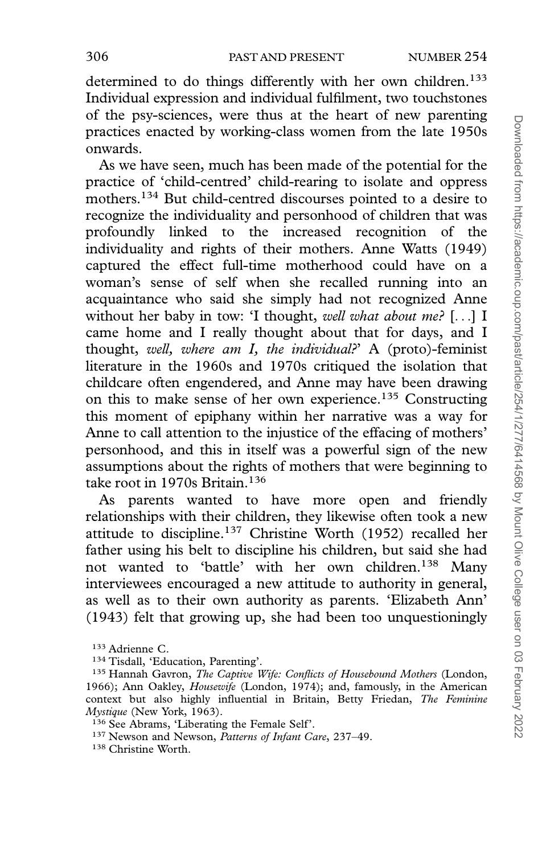determined to do things differently with her own children.<sup>133</sup> Individual expression and individual fulfilment, two touchstones of the psy-sciences, were thus at the heart of new parenting practices enacted by working-class women from the late 1950s onwards.

As we have seen, much has been made of the potential for the practice of 'child-centred' child-rearing to isolate and oppress mothers.134 But child-centred discourses pointed to a desire to recognize the individuality and personhood of children that was profoundly linked to the increased recognition of the individuality and rights of their mothers. Anne Watts (1949) captured the effect full-time motherhood could have on a woman's sense of self when she recalled running into an acquaintance who said she simply had not recognized Anne without her baby in tow: 'I thought, well what about me? [...] I came home and I really thought about that for days, and I thought, well, where am I, the individual? A (proto)-feminist literature in the 1960s and 1970s critiqued the isolation that childcare often engendered, and Anne may have been drawing on this to make sense of her own experience.135 Constructing this moment of epiphany within her narrative was a way for Anne to call attention to the injustice of the effacing of mothers' personhood, and this in itself was a powerful sign of the new assumptions about the rights of mothers that were beginning to take root in 1970s Britain.<sup>136</sup>

As parents wanted to have more open and friendly relationships with their children, they likewise often took a new attitude to discipline.137 Christine Worth (1952) recalled her father using his belt to discipline his children, but said she had not wanted to 'battle' with her own children.138 Many interviewees encouraged a new attitude to authority in general, as well as to their own authority as parents. 'Elizabeth Ann' (1943) felt that growing up, she had been too unquestioningly

137 Newson and Newson, Patterns of Infant Care, 237-49.

<sup>133</sup> Adrienne C.

<sup>134</sup> Tisdall, 'Education, Parenting'.

<sup>&</sup>lt;sup>135</sup> Hannah Gavron, *The Captive Wife: Conflicts of Housebound Mothers* (London, 1966); Ann Oakley, Housewife (London, 1974); and, famously, in the American context but also highly influential in Britain, Betty Friedan, The Feminine Mystique (New York, 1963).

<sup>136</sup> See Abrams, 'Liberating the Female Self'.

<sup>138</sup> Christine Worth.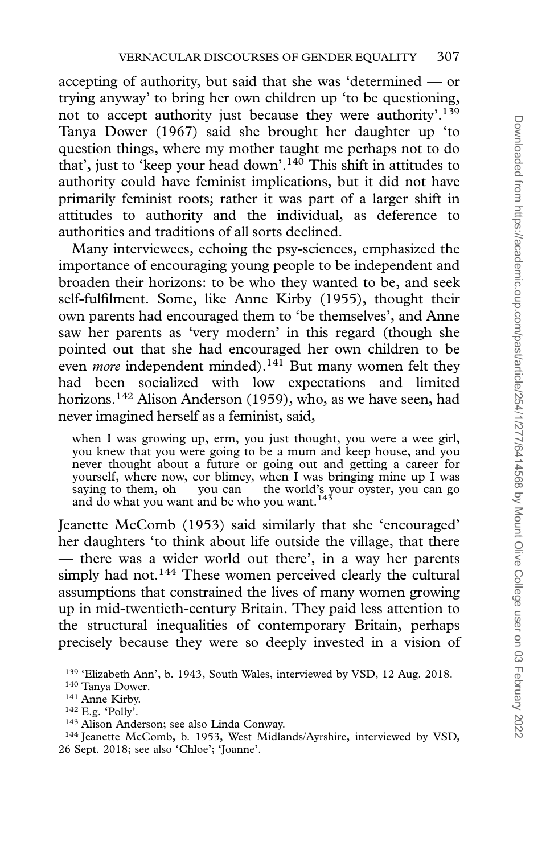accepting of authority, but said that she was 'determined — or trying anyway' to bring her own children up 'to be questioning, not to accept authority just because they were authority'.139 Tanya Dower (1967) said she brought her daughter up 'to question things, where my mother taught me perhaps not to do that', just to 'keep your head down'.140 This shift in attitudes to authority could have feminist implications, but it did not have primarily feminist roots; rather it was part of a larger shift in attitudes to authority and the individual, as deference to authorities and traditions of all sorts declined.

Many interviewees, echoing the psy-sciences, emphasized the importance of encouraging young people to be independent and broaden their horizons: to be who they wanted to be, and seek self-fulfilment. Some, like Anne Kirby (1955), thought their own parents had encouraged them to 'be themselves', and Anne saw her parents as 'very modern' in this regard (though she pointed out that she had encouraged her own children to be even *more* independent minded).<sup>141</sup> But many women felt they had been socialized with low expectations and limited horizons.<sup>142</sup> Alison Anderson (1959), who, as we have seen, had never imagined herself as a feminist, said,

when I was growing up, erm, you just thought, you were a wee girl, you knew that you were going to be a mum and keep house, and you never thought about a future or going out and getting a career for yourself, where now, cor blimey, when I was bringing mine up I was saying to them, oh — you can — the world's your oyster, you can go<br>and do what you want and be who you want.<sup>143</sup>

Jeanette McComb (1953) said similarly that she 'encouraged' her daughters 'to think about life outside the village, that there — there was a wider world out there', in a way her parents simply had not.<sup>144</sup> These women perceived clearly the cultural assumptions that constrained the lives of many women growing up in mid-twentieth-century Britain. They paid less attention to the structural inequalities of contemporary Britain, perhaps precisely because they were so deeply invested in a vision of

<sup>139</sup> 'Elizabeth Ann', b. 1943, South Wales, interviewed by VSD, 12 Aug. 2018.

<sup>140</sup> Tanya Dower.

<sup>141</sup> Anne Kirby.

 $142$  E.g. 'Polly'.

<sup>143</sup> Alison Anderson; see also Linda Conway.

<sup>144</sup> Jeanette McComb, b. 1953, West Midlands/Ayrshire, interviewed by VSD, 26 Sept. 2018; see also 'Chloe'; 'Joanne'.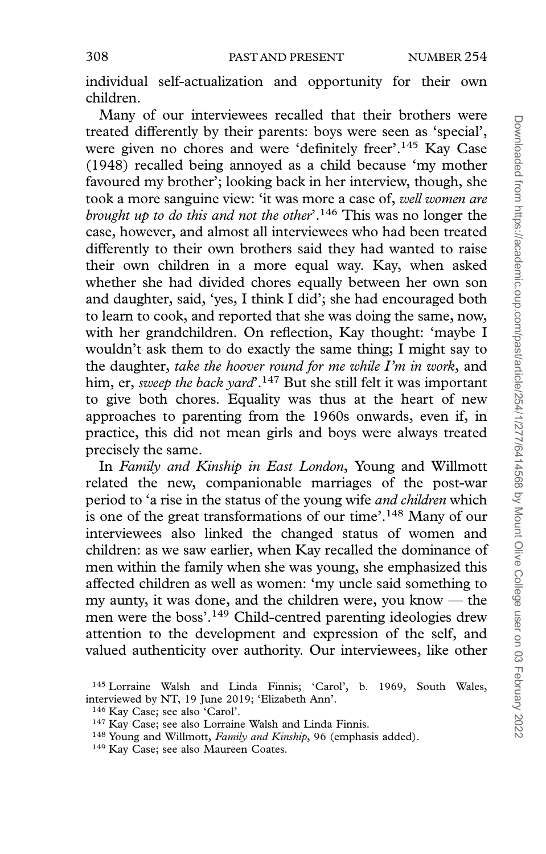individual self-actualization and opportunity for their own children.

Many of our interviewees recalled that their brothers were treated differently by their parents: boys were seen as 'special', were given no chores and were 'definitely freer'.145 Kay Case (1948) recalled being annoyed as a child because 'my mother favoured my brother'; looking back in her interview, though, she took a more sanguine view: 'it was more a case of, well women are brought up to do this and not the other'.<sup>146</sup> This was no longer the case, however, and almost all interviewees who had been treated differently to their own brothers said they had wanted to raise their own children in a more equal way. Kay, when asked whether she had divided chores equally between her own son and daughter, said, 'yes, I think I did'; she had encouraged both to learn to cook, and reported that she was doing the same, now, with her grandchildren. On reflection, Kay thought: 'maybe I wouldn't ask them to do exactly the same thing; I might say to the daughter, take the hoover round for me while I'm in work, and him, er, sweep the back yard'.<sup>147</sup> But she still felt it was important to give both chores. Equality was thus at the heart of new approaches to parenting from the 1960s onwards, even if, in practice, this did not mean girls and boys were always treated precisely the same.

In Family and Kinship in East London, Young and Willmott related the new, companionable marriages of the post-war period to 'a rise in the status of the young wife and children which is one of the great transformations of our time'.148 Many of our interviewees also linked the changed status of women and children: as we saw earlier, when Kay recalled the dominance of men within the family when she was young, she emphasized this affected children as well as women: 'my uncle said something to my aunty, it was done, and the children were, you know — the men were the boss'.149 Child-centred parenting ideologies drew attention to the development and expression of the self, and valued authenticity over authority. Our interviewees, like other

<sup>145</sup> Lorraine Walsh and Linda Finnis; 'Carol', b. 1969, South Wales, interviewed by NT, 19 June 2019; 'Elizabeth Ann'.

<sup>146</sup> Kay Case; see also 'Carol'.

<sup>&</sup>lt;sup>147</sup> Kay Case; see also Lorraine Walsh and Linda Finnis.

<sup>&</sup>lt;sup>148</sup> Young and Willmott, Family and Kinship, 96 (emphasis added).

<sup>149</sup> Kay Case; see also Maureen Coates.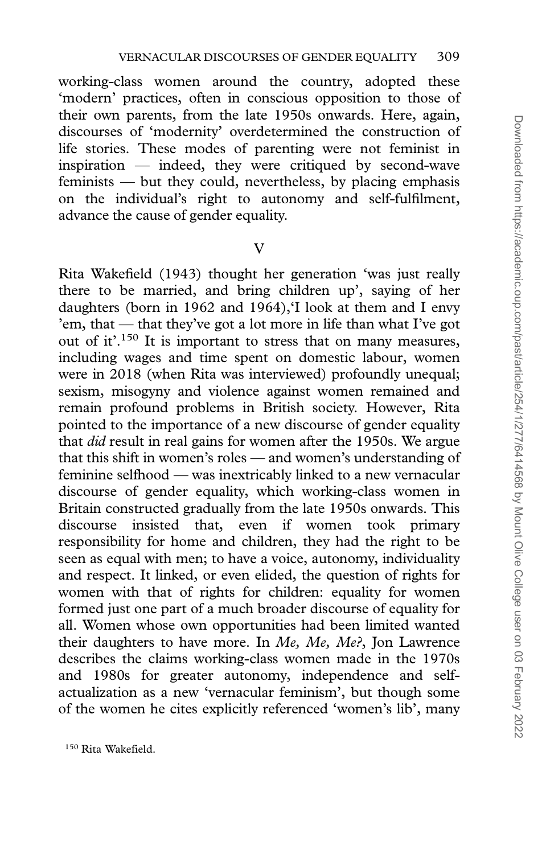working-class women around the country, adopted these 'modern' practices, often in conscious opposition to those of their own parents, from the late 1950s onwards. Here, again, discourses of 'modernity' overdetermined the construction of life stories. These modes of parenting were not feminist in inspiration — indeed, they were critiqued by second-wave feminists — but they could, nevertheless, by placing emphasis on the individual's right to autonomy and self-fulfilment, advance the cause of gender equality.

V

Rita Wakefield (1943) thought her generation 'was just really there to be married, and bring children up', saying of her daughters (born in 1962 and 1964),'I look at them and I envy 'em, that — that they've got a lot more in life than what I've got out of it'.150 It is important to stress that on many measures, including wages and time spent on domestic labour, women were in 2018 (when Rita was interviewed) profoundly unequal; sexism, misogyny and violence against women remained and remain profound problems in British society. However, Rita pointed to the importance of a new discourse of gender equality that did result in real gains for women after the 1950s. We argue that this shift in women's roles — and women's understanding of feminine selfhood — was inextricably linked to a new vernacular discourse of gender equality, which working-class women in Britain constructed gradually from the late 1950s onwards. This discourse insisted that, even if women took primary responsibility for home and children, they had the right to be seen as equal with men; to have a voice, autonomy, individuality and respect. It linked, or even elided, the question of rights for women with that of rights for children: equality for women formed just one part of a much broader discourse of equality for all. Women whose own opportunities had been limited wanted their daughters to have more. In  $Me$ ,  $Me$ ,  $Me$ ?, Jon Lawrence describes the claims working-class women made in the 1970s and 1980s for greater autonomy, independence and selfactualization as a new 'vernacular feminism', but though some of the women he cites explicitly referenced 'women's lib', many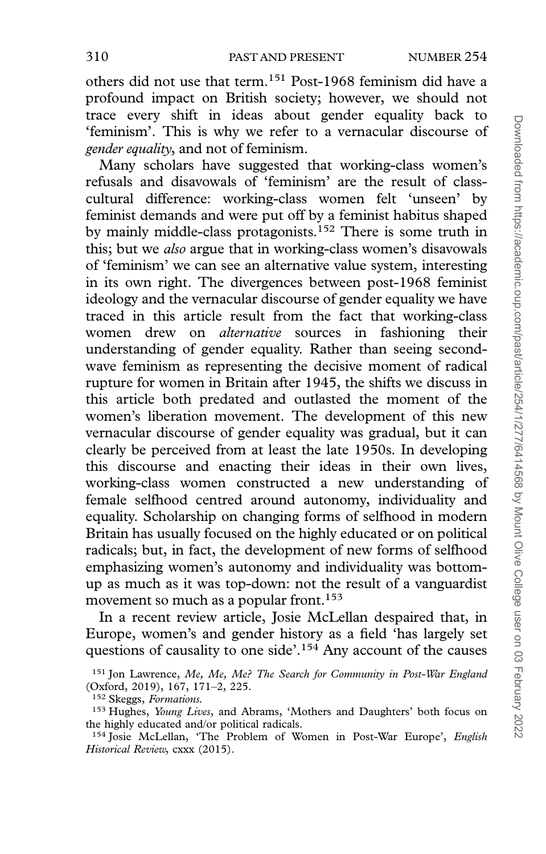others did not use that term.<sup>151</sup> Post-1968 feminism did have a profound impact on British society; however, we should not trace every shift in ideas about gender equality back to 'feminism'. This is why we refer to a vernacular discourse of gender equality, and not of feminism.

Many scholars have suggested that working-class women's refusals and disavowals of 'feminism' are the result of classcultural difference: working-class women felt 'unseen' by feminist demands and were put off by a feminist habitus shaped by mainly middle-class protagonists.<sup>152</sup> There is some truth in this; but we also argue that in working-class women's disavowals of 'feminism' we can see an alternative value system, interesting in its own right. The divergences between post-1968 feminist ideology and the vernacular discourse of gender equality we have traced in this article result from the fact that working-class women drew on alternative sources in fashioning their understanding of gender equality. Rather than seeing secondwave feminism as representing the decisive moment of radical rupture for women in Britain after 1945, the shifts we discuss in this article both predated and outlasted the moment of the women's liberation movement. The development of this new vernacular discourse of gender equality was gradual, but it can clearly be perceived from at least the late 1950s. In developing this discourse and enacting their ideas in their own lives, working-class women constructed a new understanding of female selfhood centred around autonomy, individuality and equality. Scholarship on changing forms of selfhood in modern Britain has usually focused on the highly educated or on political radicals; but, in fact, the development of new forms of selfhood emphasizing women's autonomy and individuality was bottomup as much as it was top-down: not the result of a vanguardist movement so much as a popular front.<sup>153</sup>

In a recent review article, Josie McLellan despaired that, in Europe, women's and gender history as a field 'has largely set questions of causality to one side'.154 Any account of the causes

<sup>&</sup>lt;sup>151</sup> Jon Lawrence, Me, Me, Me? The Search for Community in Post-War England (Oxford, 2019), 167, 171–2, 225.

<sup>152</sup> Skeggs, Formations.

<sup>&</sup>lt;sup>153</sup> Hughes, *Young Lives*, and Abrams, 'Mothers and Daughters' both focus on the highly educated and/or political radicals.

<sup>&</sup>lt;sup>154</sup> Josie McLellan, 'The Problem of Women in Post-War Europe', English Historical Review, cxxx (2015).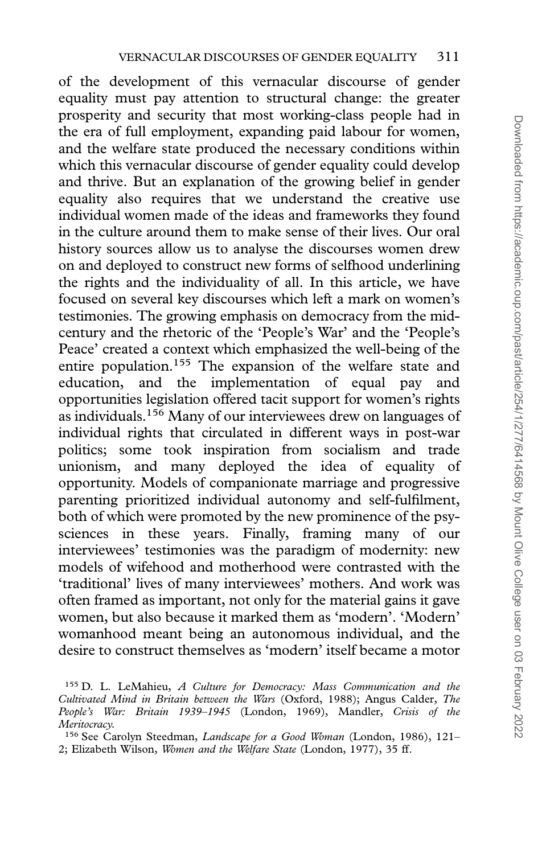of the development of this vernacular discourse of gender equality must pay attention to structural change: the greater prosperity and security that most working-class people had in the era of full employment, expanding paid labour for women, and the welfare state produced the necessary conditions within which this vernacular discourse of gender equality could develop and thrive. But an explanation of the growing belief in gender equality also requires that we understand the creative use individual women made of the ideas and frameworks they found in the culture around them to make sense of their lives. Our oral history sources allow us to analyse the discourses women drew on and deployed to construct new forms of selfhood underlining the rights and the individuality of all. In this article, we have focused on several key discourses which left a mark on women's testimonies. The growing emphasis on democracy from the midcentury and the rhetoric of the 'People's War' and the 'People's Peace' created a context which emphasized the well-being of the entire population.<sup>155</sup> The expansion of the welfare state and education, and the implementation of equal pay and opportunities legislation offered tacit support for women's rights as individuals.156 Many of our interviewees drew on languages of individual rights that circulated in different ways in post-war politics; some took inspiration from socialism and trade unionism, and many deployed the idea of equality of opportunity. Models of companionate marriage and progressive parenting prioritized individual autonomy and self-fulfilment, both of which were promoted by the new prominence of the psysciences in these years. Finally, framing many of our interviewees' testimonies was the paradigm of modernity: new models of wifehood and motherhood were contrasted with the 'traditional' lives of many interviewees' mothers. And work was often framed as important, not only for the material gains it gave women, but also because it marked them as 'modern'. 'Modern' womanhood meant being an autonomous individual, and the desire to construct themselves as 'modern' itself became a motor

<sup>155</sup> D. L. LeMahieu, A Culture for Democracy: Mass Communication and the Cultivated Mind in Britain between the Wars (Oxford, 1988); Angus Calder, The People's War: Britain 1939–1945 (London, 1969), Mandler, Crisis of the Meritocracy.

<sup>&</sup>lt;sup>156</sup> See Carolyn Steedman, Landscape for a Good Woman (London, 1986), 121-2; Elizabeth Wilson, Women and the Welfare State (London, 1977), 35 ff.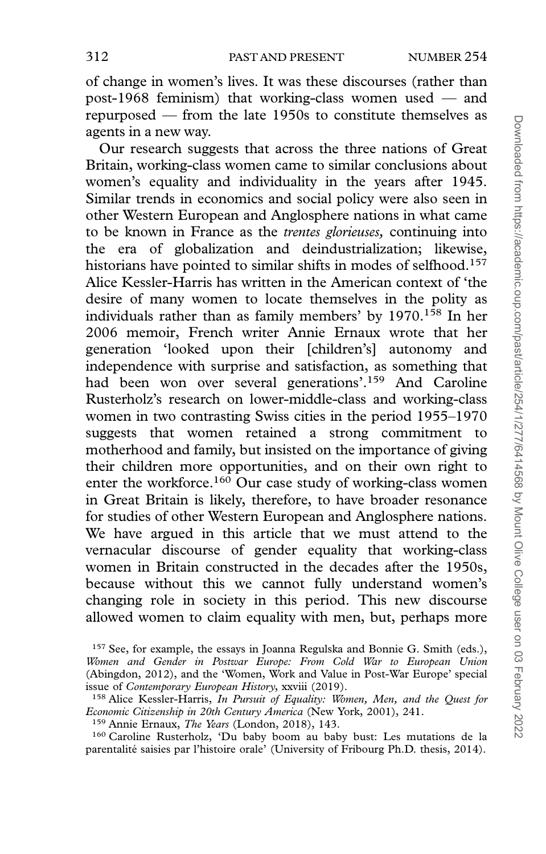of change in women's lives. It was these discourses (rather than post-1968 feminism) that working-class women used — and repurposed — from the late 1950s to constitute themselves as agents in a new way.

Our research suggests that across the three nations of Great Britain, working-class women came to similar conclusions about women's equality and individuality in the years after 1945. Similar trends in economics and social policy were also seen in other Western European and Anglosphere nations in what came to be known in France as the trentes glorieuses, continuing into the era of globalization and deindustrialization; likewise, historians have pointed to similar shifts in modes of selfhood.<sup>157</sup> Alice Kessler-Harris has written in the American context of 'the desire of many women to locate themselves in the polity as individuals rather than as family members' by 1970.<sup>158</sup> In her 2006 memoir, French writer Annie Ernaux wrote that her generation 'looked upon their [children's] autonomy and independence with surprise and satisfaction, as something that had been won over several generations'.159 And Caroline Rusterholz's research on lower-middle-class and working-class women in two contrasting Swiss cities in the period 1955–1970 suggests that women retained a strong commitment to motherhood and family, but insisted on the importance of giving their children more opportunities, and on their own right to enter the workforce.<sup>160</sup> Our case study of working-class women in Great Britain is likely, therefore, to have broader resonance for studies of other Western European and Anglosphere nations. We have argued in this article that we must attend to the vernacular discourse of gender equality that working-class women in Britain constructed in the decades after the 1950s, because without this we cannot fully understand women's changing role in society in this period. This new discourse allowed women to claim equality with men, but, perhaps more

<sup>160</sup> Caroline Rusterholz, 'Du baby boom au baby bust: Les mutations de la parentalité saisies par l'histoire orale' (University of Fribourg Ph.D. thesis, 2014).

 $157$  See, for example, the essays in Joanna Regulska and Bonnie G. Smith (eds.), Women and Gender in Postwar Europe: From Cold War to European Union (Abingdon, 2012), and the 'Women, Work and Value in Post-War Europe' special issue of Contemporary European History, xxviii (2019).

<sup>&</sup>lt;sup>158</sup> Alice Kessler-Harris, In Pursuit of Equality: Women, Men, and the Quest for Economic Citizenship in 20th Century America (New York, 2001), 241.

<sup>&</sup>lt;sup>159</sup> Annie Ernaux, *The Years* (London, 2018), 143.